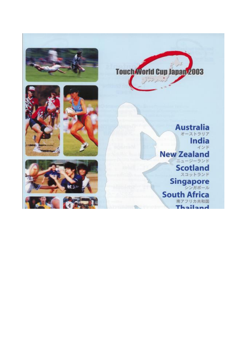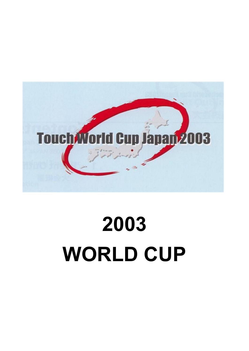

# **2003 WORLD CUP**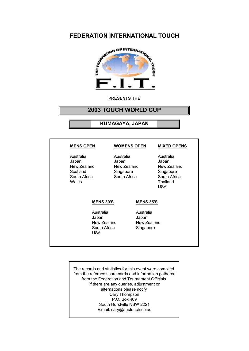# **FEDERATION INTERNATIONAL TOUCH**



#### **PRESENTS THE**

# **2003 TOUCH WORLD CUP**

**KUMAGAYA, JAPAN**

| <b>MENS OPEN</b>                                                       |                                                                               | <b>WOMENS OPEN</b>                                                 | <b>MIXED OPENS</b>                                                                       |
|------------------------------------------------------------------------|-------------------------------------------------------------------------------|--------------------------------------------------------------------|------------------------------------------------------------------------------------------|
| Australia<br>Japan<br>New Zealand<br>Scotland<br>South Africa<br>Wales | Australia<br>Japan<br>New Zealand<br>Singapore<br>South Africa                |                                                                    | Australia<br>Japan<br>New Zealand<br>Singapore<br>South Africa<br>Thailand<br><b>USA</b> |
|                                                                        | <b>MENS 30'S</b><br>Australia<br>Japan<br>New Zealand<br>South Africa<br>USA. | <b>MENS 35'S</b><br>Australia<br>Japan<br>New Zealand<br>Singapore |                                                                                          |

The records and statistics for this event were compiled from the referees score cards and information gathered from the Federation and Tournament Officials. If there are any queries, adjustment or alternations please notify Cary Thompson P.O. Box 469 South Hurstville NSW 2221 E.mail: cary@austouch.co.au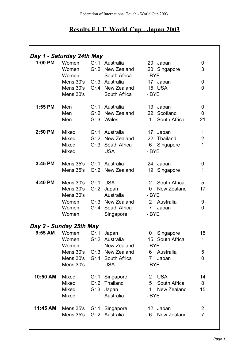# **Results F.I.T. World Cup - Japan 2003**

| Day 1 - Saturday 24th May                  |                                |                |
|--------------------------------------------|--------------------------------|----------------|
|                                            |                                |                |
| 1:00 PM<br>Gr.1 Australia<br>Women         | 20 Japan                       | 0              |
| Gr.2 New Zealand<br>Women                  | 20 Singapore                   | 3              |
| South Africa<br>Women                      | - BYE                          |                |
| Mens 30's<br>Gr.3 Australia                | 17 Japan                       | 0              |
| Mens 30's Gr.4 New Zealand                 | 15 USA                         | 0              |
| Mens 30's<br>South Africa                  | - BYE                          |                |
|                                            |                                |                |
| 1:55 PM<br>Men<br>Gr.1<br>Australia        | 13 Japan                       | 0              |
| Men<br>Gr.2 New Zealand                    | 22 Scotland                    | $\mathbf 0$    |
| Men<br>Gr.3 Wales                          | 1 <sup>1</sup><br>South Africa | 21             |
|                                            |                                |                |
| 2:50 PM<br>Mixed<br>Gr.1 Australia         | 17 Japan                       | $\mathbf 1$    |
| <b>Mixed</b><br>Gr.2 New Zealand           | 22 Thailand                    | $\overline{2}$ |
| <b>Mixed</b><br>Gr.3 South Africa          | 6 <sup>1</sup><br>Singapore    | $\mathbf{1}$   |
| <b>USA</b><br>Mixed                        | - BYE                          |                |
|                                            |                                |                |
| 3:45 PM<br>Mens 35's<br>Gr.1 Australia     | 24 Japan                       | 0              |
| Mens 35's<br>Gr.2 New Zealand              | 19<br>Singapore                | 1              |
|                                            |                                |                |
| 4:40 PM<br>Gr.1 USA<br>Mens 30's           | 2 South Africa                 | 5              |
| Mens 30's<br>Gr.2 Japan                    | 0 New Zealand                  | 17             |
| Mens 30's<br>Australia                     | - BYE                          |                |
| Gr.3 New Zealand<br>Women                  | 2 Australia                    | 9              |
| Gr.4 South Africa<br>Women                 | 7 Japan                        | 0              |
| Women<br>Singapore                         | - BYE                          |                |
| Day 2 - Sunday 25th May                    |                                |                |
| Women<br>Japan<br>Gr.1<br>9:55 AM          | Singapore<br>$\mathbf 0$       | 15             |
| Gr.2<br>Australia<br>Women                 | 15 South Africa                | 1              |
| New Zealand<br>Women                       | - BYE                          |                |
| Mens 30's<br>Gr.3 New Zealand              | 6<br>Australia                 | 5              |
| Mens 30's<br>Gr.4 South Africa             | $\overline{7}$<br>Japan        | 0              |
| Mens 30's<br><b>USA</b>                    | - BYE                          |                |
|                                            |                                |                |
| 10:50 AM<br>Mixed<br>Gr.1<br>Singapore     | <b>USA</b><br>$\overline{2}$   | 14             |
| <b>Mixed</b><br>Thailand<br>Gr.2           | 5<br>South Africa              | 8              |
| Mixed<br>Gr.3<br>Japan                     | $\mathbf{1}$<br>New Zealand    | 15             |
| Mixed<br>Australia                         | - BYE                          |                |
|                                            |                                |                |
| 11:45 AM<br>Mens 35's<br>Gr.1<br>Singapore | 12 Japan                       | $\overline{2}$ |
| Mens 35's<br>Gr.2 Australia                | New Zealand<br>6               | $\overline{7}$ |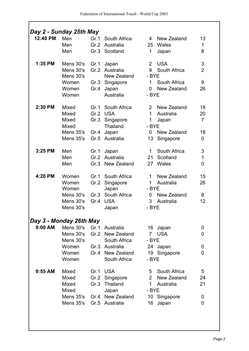|           | Day 2 - Sunday 25th May                                           |                      |                                                                                          |                                                                                                                           |                                       |
|-----------|-------------------------------------------------------------------|----------------------|------------------------------------------------------------------------------------------|---------------------------------------------------------------------------------------------------------------------------|---------------------------------------|
| 12:40 PM  | Men<br>Men<br>Men                                                 | Gr.1                 | South Africa<br>Gr.2 Australia<br>Gr.3 Scotland                                          | New Zealand<br>$\overline{4}$<br>25 Wales<br>1<br>Japan                                                                   | 13<br>$\mathbf{1}$<br>8               |
| 1:35 PM   | Mens 30's<br>Mens 30's<br>Mens 30's<br>Women<br>Women<br>Women    | Gr.1<br>Gr.4         | Japan<br>Gr.2 Australia<br>New Zealand<br>Gr.3 Singapore<br>Japan<br>Australia           | <b>USA</b><br>$\overline{2}$<br>9<br>South Africa<br>- BYE<br>South Africa<br>1<br>New Zealand<br>$\overline{0}$<br>- BYE | 3<br>$\overline{2}$<br>9<br>26        |
| 2:30 PM   | Mixed<br><b>Mixed</b><br>Mixed<br>Mixed<br>Mens 35's<br>Mens 35's | Gr.1<br>Gr.4         | South Africa<br>Gr.2 USA<br>Gr.3 Singapore<br><b>Thailand</b><br>Japan<br>Gr.5 Australia | 2 New Zealand<br>$\mathbf 1$<br>Australia<br>1<br>Japan<br>- BYE<br>New Zealand<br>0<br>13<br>Singapore                   | 18<br>20<br>$\overline{7}$<br>18<br>0 |
| 3:25 PM   | Men<br>Men<br>Men                                                 | Gr.1                 | Japan<br>Gr.2 Australia<br>Gr.3 New Zealand                                              | South Africa<br>1<br>Scotland<br>21 <sup>1</sup><br>27<br>Wales                                                           | 3<br>$\mathbf 1$<br>0                 |
| 4:20 PM   | Women<br>Women<br>Women<br>Mens 30's<br>Mens 30's<br>Mens 30's    | Gr.1<br>Gr.2<br>Gr.4 | South Africa<br>Singapore<br>Japan<br>Gr.3 South Africa<br><b>USA</b><br>Japan           | New Zealand<br>1<br>Australia<br>1<br>- BYE<br>New Zealand<br>$\mathbf 0$<br>3<br>Australia<br>- BYE                      | 15<br>26<br>8<br>12                   |
|           | Day 3 - Monday 26th May                                           |                      |                                                                                          |                                                                                                                           |                                       |
| 9:00 AM   | Mens 30's<br>Mens 30's<br>Mens 30's                               |                      | Gr.1 Australia<br>Gr.2 New Zealand<br>South Africa                                       | 16 Japan<br>7 USA<br>- BYE                                                                                                | 0<br>$\overline{0}$                   |
|           | Women<br>Women<br>Women                                           |                      | Gr.3 Australia<br>Gr.4 New Zealand<br>South Africa                                       | 24 Japan<br>19 Singapore<br>- BYE                                                                                         | 0<br>0                                |
| $9:55$ AM | Mixed<br>Mixed<br>Mixed<br>Mixed                                  |                      | Gr.1 USA<br>Gr.2 Singapore<br>Gr.3 Thailand<br>Japan                                     | 5 South Africa<br>2 New Zealand<br>Australia<br>$\mathbf 1$<br>- BYE                                                      | 5<br>24<br>21                         |
|           | Mens 35's Gr.5 Australia                                          |                      | Mens 35's Gr.4 New Zealand                                                               | 10 Singapore<br>16<br>Japan                                                                                               | 0<br>0                                |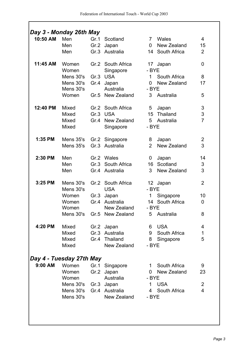| 10:50 AM  | Men                      |      | Gr.1 Scotland              | Wales<br>$7\phantom{.0}$      | $\overline{4}$ |
|-----------|--------------------------|------|----------------------------|-------------------------------|----------------|
|           | Men                      |      | Gr.2 Japan                 | New Zealand<br>$\overline{0}$ | 15             |
|           | Men                      |      | Gr.3 Australia             | 14 South Africa               | $\overline{2}$ |
| 11:45 AM  | Women                    |      | Gr.2 South Africa          | 17 Japan                      | 0              |
|           | Women                    |      | Singapore                  | - BYE                         |                |
|           | Mens 30's                |      | Gr.3 USA                   | 1 South Africa                | 8              |
|           | Mens 30's                | Gr.4 | Japan                      | New Zealand<br>$\overline{0}$ | 17             |
|           | Mens 30's                |      | Australia                  | - BYE                         |                |
|           | Women                    |      | Gr.5 New Zealand           | 3 Australia                   | 5              |
| 12:40 PM  | Mixed                    |      | Gr.2 South Africa          | 5<br>Japan                    | 3              |
|           | <b>Mixed</b>             |      | Gr.3 USA                   | 15 Thailand                   | 3              |
|           | Mixed                    |      | Gr.4 New Zealand           | 5 Australia                   | $\overline{7}$ |
|           | Mixed                    |      | Singapore                  | - BYE                         |                |
| 1:35 PM   | Mens 35's Gr.2 Singapore |      |                            | 8<br>Japan                    | $\overline{2}$ |
|           | Mens 35's                |      | Gr.3 Australia             | $\overline{2}$<br>New Zealand | 3              |
| 2:30 PM   | Men                      |      | Gr.2 Wales                 | Japan<br>0                    | 14             |
|           | Men                      |      | Gr.3 South Africa          | 16 Scotland                   | 3              |
|           | Men                      |      | Gr.4 Australia             | 3<br>New Zealand              | 3              |
| 3:25 PM   | Mens 30's                |      | Gr.2 South Africa          | 12 Japan                      | $\overline{2}$ |
|           | Mens 30's                |      | <b>USA</b>                 | - BYE                         |                |
|           | Women                    | Gr.3 | Japan                      | 1<br>Singapore                | 10             |
|           | Women                    |      | Gr.4 Australia             | 14 South Africa               | 0              |
|           | Women                    |      | New Zealand                | - BYE                         |                |
|           |                          |      | Mens 30's Gr.5 New Zealand | 5 Australia                   | 8              |
| 4:20 PM   | Mixed                    |      | Gr.2 Japan                 | 6 USA                         | 4              |
|           | Mixed                    |      | Gr.3 Australia             | 9 South Africa                | $\mathbf{1}$   |
|           | Mixed                    |      | Gr.4 Thailand              | 8 Singapore                   | 5              |
|           | Mixed                    |      | New Zealand                | - BYE                         |                |
|           | Day 4 - Tuesday 27th May |      |                            |                               |                |
| $9:00$ AM | Women                    |      | Gr.1 Singapore             | 1 South Africa                | 9              |
|           | Women                    |      | Gr.2 Japan                 | 0 New Zealand                 | 23             |
|           | Women                    |      | Australia                  | - BYE                         |                |
|           | Mens 30's Gr.3 Japan     |      |                            | 1 USA                         | $\overline{2}$ |
|           |                          |      | Mens 30's Gr.4 Australia   | 4 South Africa                | 4              |
|           | Mens 30's                |      | New Zealand                | - BYE                         |                |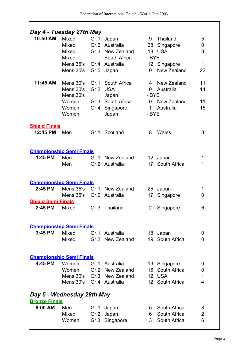| Day 4 - Tuesday 27th May              |                                                                                  |      |                                                                                              |                                                 |                                                                   |                                   |
|---------------------------------------|----------------------------------------------------------------------------------|------|----------------------------------------------------------------------------------------------|-------------------------------------------------|-------------------------------------------------------------------|-----------------------------------|
| 10:50 AM                              | Mixed<br>Mixed<br>Mixed<br><b>Mixed</b><br>Mens 35's Gr.4 Australia<br>Mens 35's | Gr.1 | Japan<br>Gr.2 Australia<br>Gr.3 New Zealand<br>South Africa<br>Gr.5 Japan                    | 9<br>- BYE<br>$\mathbf 0$                       | Thailand<br>28 Singapore<br>18 USA<br>12 Singapore<br>New Zealand | 5<br>0<br>3<br>$\mathbf{1}$<br>22 |
| 11:45 AM                              | Mens 30's<br>Mens 30's<br>Mens 30's<br>Women<br>Women<br>Women                   |      | Gr.1 South Africa<br>Gr.2 USA<br>Japan<br>Gr.3 South Africa<br>Gr.4 Singapore<br>Japan       | $\overline{0}$<br>- BYE<br>$\mathbf 1$<br>- BYE | 4 New Zealand<br>Australia<br>0 New Zealand<br>Australia          | 11<br>14<br>11<br>15              |
| <b>Shield Finals</b><br>12:45 PM      | Men                                                                              |      | Gr.1 Scotland                                                                                | 8                                               | Wales                                                             | 3                                 |
| <b>Championship Semi Finals</b>       |                                                                                  |      |                                                                                              |                                                 |                                                                   |                                   |
| 1:45 PM                               | Men<br>Men                                                                       |      | Gr.1 New Zealand<br>Gr.2 Australia                                                           |                                                 | 12 Japan<br>17 South Africa                                       | 1<br>1                            |
| <b>Championship Semi Finals</b>       |                                                                                  |      |                                                                                              |                                                 |                                                                   |                                   |
| 2:45 PM<br><b>Shield Semi Finals</b>  | Mens 35's Gr.2 Australia                                                         |      | Mens 35's Gr.1 New Zealand                                                                   | 17                                              | 25 Japan<br>Singapore                                             | 1<br>0                            |
| 2:45 PM                               | Mixed                                                                            |      | Gr.3 Thailand                                                                                | $\mathbf{2}$                                    | Singapore                                                         | 6                                 |
| <b>Championship Semi Finals</b>       |                                                                                  |      |                                                                                              |                                                 |                                                                   |                                   |
| 3:45 PM                               | Mixed<br>Mixed                                                                   |      | Gr.1 Australia<br>Gr.2 New Zealand                                                           |                                                 | 18 Japan<br>19 South Africa                                       | 0<br>0                            |
| <b>Championship Semi Finals</b>       |                                                                                  |      |                                                                                              |                                                 |                                                                   |                                   |
| 4:45 PM<br>Day 5 - Wednesday 28th May | Women<br>Women                                                                   |      | Gr.1 Australia<br>Gr.2 New Zealand<br>Mens 30's Gr.3 New Zealand<br>Mens 30's Gr.4 Australia |                                                 | 19 Singapore<br>16 South Africa<br>12 USA<br>12 South Africa      | 0<br>0<br>$\mathbf 1$<br>4        |
| <b>Bronze Finals</b>                  |                                                                                  |      |                                                                                              |                                                 |                                                                   |                                   |
| 8:00 AM                               | Men<br>Mixed<br>Women                                                            |      | Gr.1 Japan<br>Gr.2 Japan<br>Gr.3 Singapore                                                   |                                                 | 5 South Africa<br>6 South Africa<br>3 South Africa                | 8<br>$\overline{2}$<br>6          |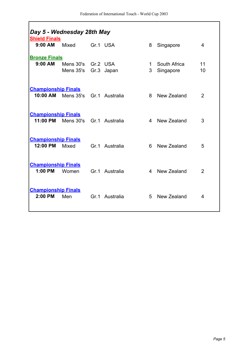| Day 5 - Wednesday 28th May<br><b>Shield Finals</b> |                                            |                |        |                           |                |
|----------------------------------------------------|--------------------------------------------|----------------|--------|---------------------------|----------------|
| $9:00$ AM                                          | Mixed                                      | Gr.1 USA       | 8      | Singapore                 | 4              |
| <b>Bronze Finals</b>                               |                                            |                |        |                           |                |
| $9:00$ AM                                          | Mens 30's Gr.2 USA<br>Mens 35's Gr.3 Japan |                | 1<br>3 | South Africa<br>Singapore | 11<br>10       |
|                                                    |                                            |                |        |                           |                |
| <b>Championship Finals</b>                         |                                            |                |        |                           |                |
| 10:00 AM                                           | Mens 35's Gr.1 Australia                   |                | 8      | New Zealand               | $\overline{2}$ |
| <b>Championship Finals</b>                         |                                            |                |        |                           |                |
| 11:00 PM                                           | Mens 30's Gr.1 Australia                   |                |        | 4 New Zealand             | 3              |
|                                                    |                                            |                |        |                           |                |
| <b>Championship Finals</b><br>12:00 PM             | <b>Mixed</b>                               | Gr.1 Australia | 6.     | New Zealand               | 5              |
|                                                    |                                            |                |        |                           |                |
| <b>Championship Finals</b>                         |                                            |                |        |                           |                |
| $1:00$ PM                                          | Women                                      | Gr.1 Australia | 4      | New Zealand               | $\overline{2}$ |
| <b>Championship Finals</b>                         |                                            |                |        |                           |                |
| 2:00 PM                                            | Men                                        | Gr.1 Australia | 5      | New Zealand               | 4              |
|                                                    |                                            |                |        |                           |                |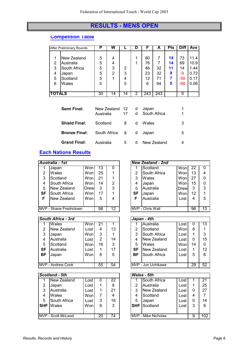# **RESULTS - MENS OPEN**

#### **Competition Table**

|                               | <b>After Preliminary Rounds</b>                               | Р                     | w                |             | D |                            | А                        | <b>Pts</b>               | <b>Diff</b>                   | Ave                                  |
|-------------------------------|---------------------------------------------------------------|-----------------------|------------------|-------------|---|----------------------------|--------------------------|--------------------------|-------------------------------|--------------------------------------|
| $\overline{2}$<br>3<br>4<br>5 | New Zealand<br>Australia<br>South Africa<br>Japan<br>Scotland | 5<br>5<br>5<br>5<br>5 | 4<br>4<br>3<br>2 | 2<br>3<br>4 |   | 80<br>76<br>46<br>23<br>12 | 7<br>7<br>32<br>32<br>71 | 14<br>14<br>11<br>9<br>7 | 73<br>69<br>14<br>-9<br>$-59$ | 11.4<br>10.9<br>1.44<br>0.72<br>0.17 |
| 6                             | Wales                                                         | 5                     |                  | 5           |   | 6                          | 94                       | 5                        | $-88$                         | 0.06                                 |
| <b>TOTALS</b>                 |                                                               | 30                    | 14               | 14          | 2 | 243                        | 243                      |                          | 0                             |                                      |

| Semi Final:          | New Zealand 12 d Japan<br>Australia | 17 |    | d South Africa | 1 |
|----------------------|-------------------------------------|----|----|----------------|---|
| <b>Shield Final:</b> | Scotland                            | 8  | d. | Wales          | 3 |
| <b>Bronze Final:</b> | South Africa 8                      |    |    | d Japan        | 5 |
| <b>Grand Final:</b>  | Australia                           | 5  | d  | New Zealand    | 4 |

## **Each Nations Results**

|           | Australia - 1st         |             |    |    |           | <b>New Zealand - 2nd</b> |             |        |          |
|-----------|-------------------------|-------------|----|----|-----------|--------------------------|-------------|--------|----------|
|           | Japan                   | Won         | 13 |    |           | Scotland                 | Wonl        | 22     | $\Omega$ |
| 2         | Wales                   | Won         | 25 |    | 2         | South Africa             | Wonl        | 13     | 4        |
| 3         | Scotland                | Wonl        | 21 |    | 3         | Wales                    | Wonl        | 27     | $\Omega$ |
| 4         | South Africa            | Won         | 14 | 2  | 4         | Japan                    | Wonl        | $15\,$ | $\Omega$ |
| 5         | New Zealand             | <b>Drew</b> | 3  | 3  | 5         | Australia                | <b>Drew</b> | 3      | 3        |
| <b>SF</b> | South Africa            | Won         | 17 |    | <b>SF</b> | Japan                    | Wonl        | 12     | 1        |
| F         | New Zealand             | Won         | 5  | 4  | F         | Australia                | Lost        | 4      | 5        |
|           |                         |             |    |    |           |                          |             |        |          |
|           | MVP - Shane Fredricksen |             | 98 | 12 |           | MVP - Chris Wall         |             | 96     | 13       |

|    | South Africa - 3rd |      |    |    |           | Japan - $4th$       |      |    |          |
|----|--------------------|------|----|----|-----------|---------------------|------|----|----------|
|    | Wales              | Won  | 21 |    |           | Australia           | Lost | υ  | 13       |
| 2  | New Zealand        | Lost | 4  | 13 | 2         | Scotland            | Wonl | 8  | 1        |
| 3  | Japan              | Won  | 3  |    | 3         | South Africa        | Lost |    | 3        |
| 4  | Australia          | Lost | 2  | 14 | 4         | New Zealand         | Lost | 0  | 15       |
| 5  | Scotland           | Won  | 16 | 3  | 5         | Wales               | Wonl | 14 | $\Omega$ |
| SF | Australia          | Lost | 1  | 17 | <b>SF</b> | New Zealand         | Lost |    | 12       |
| BF | Japan              | Won  | 8  | 5  | <b>BF</b> | South Africa        | Lost | 5  | 8        |
|    |                    |      |    |    |           |                     |      |    |          |
|    | MVP - Andrew Cook  |      | 55 | 54 |           | IMVP - Jun Uchikawa |      | 29 | 52       |
|    |                    |      |    |    |           |                     |      |    |          |

|            | Scotland - 5th     |      |    |    |            | <b>Wales - 6th</b>  |      |   |     |
|------------|--------------------|------|----|----|------------|---------------------|------|---|-----|
|            | New Zealand        | Lost |    | 22 |            | South Africa        | Lost |   | 21  |
| 2          | Japan              | Lost |    | 8  | 2          | Australia           | Lost | 1 | 25  |
| 3          | Australia          | Lost |    | 21 | 3          | New Zealand         | Lost | 0 | 27  |
| 4          | Wales              | Won  |    | 4  | 4          | Scotland            | Lost | 4 |     |
| 5          | South Africa       | Lost | 3  | 16 | 5          | Japan               | Lost | 0 | 14  |
| <b>SHF</b> | Wales              | Won  | 8  | 3  | <b>SHF</b> | Scotland            | Lost | 3 | 8   |
|            |                    |      |    |    |            |                     |      |   |     |
|            | MVP - Scott McLeod |      | 20 | 74 |            | MVP - Mike Nicholas |      | 9 | 102 |

| New Zealand - 2nd |                  |             |    |    |  |  |  |  |  |  |
|-------------------|------------------|-------------|----|----|--|--|--|--|--|--|
| 1                 | Scotland         | Wonl        | 22 | ი  |  |  |  |  |  |  |
| $\overline{2}$    | South Africa     | Won         | 13 | 4  |  |  |  |  |  |  |
| 3                 | Wales            | Wonl        | 27 | 0  |  |  |  |  |  |  |
| 4                 | Japan            | Wonl        | 15 | 0  |  |  |  |  |  |  |
| 5                 | Australia        | <b>Drew</b> | 3  | 3  |  |  |  |  |  |  |
| SF                | Japan            | Wonl        | 12 |    |  |  |  |  |  |  |
| F                 | Australia        | Lost        | 4  | 5  |  |  |  |  |  |  |
|                   |                  |             |    |    |  |  |  |  |  |  |
|                   | MVP - Chris Wall |             | 96 | 13 |  |  |  |  |  |  |

|    | outh Africa - 3rd            |      |    |    |  |    | Japan - $4th$              |      |    |    |
|----|------------------------------|------|----|----|--|----|----------------------------|------|----|----|
| 1  | Wales                        | Won  | 21 |    |  |    | Australia                  | Lost |    | 13 |
| 2  | New Zealand                  | Lost | 4  | 13 |  | 2  | Scotland                   | Won  | 8  |    |
| 3  | Japan                        | Won  | 3  |    |  | 3  | South Africa               | Lost |    | 3  |
| 4  | Australia                    | Lost | 2  | 14 |  | 4  | New Zealand                | Lost | 0  | 15 |
| 5  | Scotland                     | Won  | 16 | 3  |  | 5  | Wales                      | Won  | 14 | 0  |
| ١F | Australia                    | Lost |    | 17 |  | SF | New Zealand                | Lost |    | 12 |
| ١F | Japan                        | Won  | 8  | 5  |  | ВF | South Africa               | Lost | 5  | 8  |
|    |                              |      |    |    |  |    |                            |      |    |    |
|    | VP - Andrew Cook<br>55<br>54 |      |    |    |  |    | <b>IMVP - Jun Uchikawa</b> |      | 29 | 52 |

|                               | cotland - 5th |      |   |    | <b>Wales - 6th</b> |                             |      |   |     |
|-------------------------------|---------------|------|---|----|--------------------|-----------------------------|------|---|-----|
| 1.                            | New Zealand   | Lost | U | 22 |                    | South Africa                | Lost |   | 21  |
| 2                             | Japan         | Lost |   | 8  | 2                  | Australia                   | Lost |   | 25  |
| 3                             | Australia     | Lost |   | 21 | 3                  | New Zealand                 | Lost | 0 | 27  |
| 4                             | Wales         | Wonl |   | 4  | 4                  | Scotland                    | Lost | 4 |     |
| 5.                            | South Africa  | Lost | 3 | 16 | 5                  | Japan                       | Lost | 0 | 14  |
| HF                            | Wales         | Won  | 8 | 3  | <b>SHF</b>         | Scotland                    | Lost | 3 | 8   |
|                               |               |      |   |    |                    |                             |      |   |     |
| VP - Scott McLeod<br>20<br>74 |               |      |   |    |                    | <b>IMVP - Mike Nicholas</b> |      | 9 | 102 |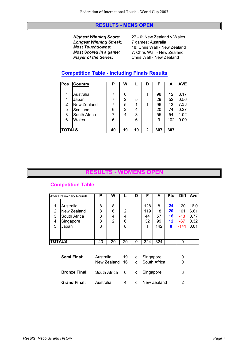#### **RESULTS - MENS OPEN**

**Longest Winning Streak:** 7 games; Australia<br>**Most Touchdowns:** 18; Chris Wall - Ne

*Highest Winning Score:* 27 - 0; New Zealand v Wales *Most Touchdowns:* 18; Chris Wall - New Zealand<br>**Most Scored in a game:** 7; Chris Wall - New Zealand *Most Scored in a game:* 7; Chris Wall - New Zealand<br>**Player of the Series:** Chris Wall - New Zealand *Player of the Series:* Chris Wall - New Zealand

## **Competition Table - Including Finals Results**

| Pos            | <b>Country</b> | Р  | w  |    |   | F   | А   | <b>AVE</b> |
|----------------|----------------|----|----|----|---|-----|-----|------------|
|                |                |    |    |    |   |     |     |            |
|                | Australia      |    | 6  |    |   | 98  | 12  | 8.17       |
| 4              | Japan          |    | 2  | 5  |   | 29  | 52  | 0.56       |
| 2              | New Zealand    |    | 5  | 1  |   | 96  | 13  | 7.38       |
| 5              | Scotland       | 6  | 2  | 4  |   | 20  | 74  | 0.27       |
| 3              | South Africa   |    | 4  | 3  |   | 55  | 54  | 1.02       |
| 6              | Wales          | 6  |    | 6  |   | 9   | 102 | 0.09       |
|                |                |    |    |    |   |     |     |            |
| <b>ITOTALS</b> |                | 40 | 19 | 19 | 2 | 307 | 307 |            |

#### **RESULTS - WOMENS OPEN**

## **Competition Table**

|                  | <b>After Preliminary Rounds</b>                                | Р                     | w                |                  | D | F                      | A                          | <b>Pts</b>                | <b>Diff</b>                          | Ave                                  |
|------------------|----------------------------------------------------------------|-----------------------|------------------|------------------|---|------------------------|----------------------------|---------------------------|--------------------------------------|--------------------------------------|
| 2<br>3<br>4<br>5 | Australia<br>New Zealand<br>South Africa<br>Singapore<br>Japan | 8<br>8<br>8<br>8<br>8 | 8<br>6<br>4<br>2 | 2<br>4<br>6<br>8 |   | 128<br>119<br>44<br>32 | 8<br>18<br>57<br>99<br>142 | 24<br>20<br>16<br>12<br>8 | 120<br>101<br>$-13$<br>$-67$<br>-141 | 16.0<br>6.61<br>0.77<br>0.32<br>0.01 |
| <b>TOTALS</b>    |                                                                | 40                    | 20               | 20               | 0 | 324                    | 324                        |                           | 0                                    |                                      |
|                  |                                                                |                       |                  |                  |   |                        |                            |                           |                                      |                                      |

| Semi Final:          | Australia<br>New Zealand 16 | 19 |              | d Singapore<br>d South Africa |    |
|----------------------|-----------------------------|----|--------------|-------------------------------|----|
| <b>Bronze Final:</b> | South Africa 6 d Singapore  |    |              |                               | -3 |
| <b>Grand Final:</b>  | Australia                   | 4  | $\mathsf{d}$ | New Zealand                   |    |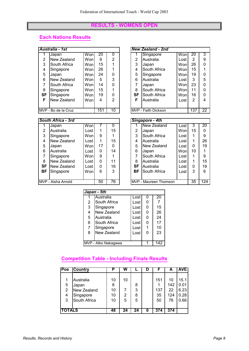#### **RESULTS - WOMENS OPEN**

## **Each Nations Results**

|           | Australia - 1st     |      |     |    |                | <b>New Zealand - 2nd</b> |      |     |          |
|-----------|---------------------|------|-----|----|----------------|--------------------------|------|-----|----------|
|           | Japan               | Wonl | 20  | 0  |                | Singapore                | Won  | 20  | 3        |
| 2         | New Zealand         | Wonl | 9   | 2  | $\overline{2}$ | Australia                | Lost | 2   | 9        |
| 3         | South Africa        | Wonl | 15  |    | 3              | Japan                    | Wonl | 26  | $\Omega$ |
| 4         | Singapore           | Wonl | 26  |    | 4              | South Africa             | Wonl | 15  | 1        |
| 5         | Japan               | Wonl | 24  | 0  | 5              | Singapore                | Wonl | 19  | $\Omega$ |
| 6         | New Zealand         | Wonl | 5   | 3  | 6              | Australia                | Lost | 3   | 5        |
| 7         | South Africa        | Wonl | 14  | 0  |                | Japan                    | Wonl | 23  | $\Omega$ |
| 8         | Singapore           | Won  | 15  |    | 8              | South Africa             | Wonl | 11  | $\Omega$ |
| <b>SF</b> | Singapore           | Wonl | 19  | 0  | SF             | South Africa             | Wonl | 16  | $\Omega$ |
| F         | New Zealand         | Wonl | 4   | 2  | F              | Australia                | Lost | 2   | 4        |
|           |                     |      |     |    |                |                          |      |     |          |
|           | MVP - Bo de la Cruz |      | 151 | 10 |                | MVP - Faith Dickson      |      | 137 | 22       |

| South Africa - 3rd |  |
|--------------------|--|

|           | Japan              | Won        |    |    |                | New Zealand            | Lost | 3  | 20  |
|-----------|--------------------|------------|----|----|----------------|------------------------|------|----|-----|
| 2         | Australia          | ∟ost       |    | 15 | $\overline{2}$ | Japan                  | Wonl | 15 | 0   |
| 3         | Singapore          | Wonl       | 9  |    | 3              | South Africa           | Lost | 1  | 9   |
| 4         | New Zealand        | Lost       |    | 15 | 4              | Australia              | Lost | 1  | 26  |
| 5         | Japan              | Wonl       | 17 | 0  | 5              | New Zealand            | Lost | 0  | 19  |
| 6         | Australia          | ∟ost       | 0  | 14 | 6              | Japan                  | Won  | 10 |     |
|           | Singapore          | Wonl       | 9  |    |                | South Africa           | Lost | 1  | 9   |
| 8         | New Zealand        | Lost       | 0  | 11 | 8              | Australia              | Lost | 1  | 15  |
| <b>SF</b> | New Zealand        | _ost       | 0  | 16 | <b>SF</b>      | Australia              | Lost | 0  | 19  |
| <b>BF</b> | Singapore          | <b>Won</b> | 6  | 3  | ВF             | South Africa           | Lost | 3  | 6   |
|           |                    |            |    |    |                |                        |      |    |     |
|           | MVP - Aisha Arnold |            |    | 76 |                | IMVP - Maureen Thomson |      | 35 | 124 |
|           |                    |            |    |    |                |                        |      |    |     |

|                         | <b>New Zealand - 2nd</b>   |      |                |    |  |  |  |  |  |  |
|-------------------------|----------------------------|------|----------------|----|--|--|--|--|--|--|
| 1                       | Singapore                  | Won  | 20             | 3  |  |  |  |  |  |  |
| 2                       | Australia                  | Lost | 2              | 9  |  |  |  |  |  |  |
| 3                       | Japan                      | Won  | 26             | 0  |  |  |  |  |  |  |
| $\overline{\mathbf{4}}$ | South Africa               | Won  | 15             | 1  |  |  |  |  |  |  |
| 5                       | Singapore                  | Won  | 19             | 0  |  |  |  |  |  |  |
| 6                       | Australia                  | Lost | 3              | 5  |  |  |  |  |  |  |
| $\overline{7}$          | Japan                      | Won  | 23             | 0  |  |  |  |  |  |  |
| 8                       | South Africa               | Won  | 11             | 0  |  |  |  |  |  |  |
| <b>SF</b>               | South Africa               | Won  | 16             | 0  |  |  |  |  |  |  |
| F                       | Australia                  | Lost | $\overline{2}$ | 4  |  |  |  |  |  |  |
|                         |                            |      |                |    |  |  |  |  |  |  |
|                         | <b>MVP - Faith Dickson</b> |      | 137            | 22 |  |  |  |  |  |  |

|           | South Africa - 3rd             |      |    |    |  |           | Singapore - 4th       |      |    |     |
|-----------|--------------------------------|------|----|----|--|-----------|-----------------------|------|----|-----|
|           | Japan                          | Won  |    | 0  |  |           | <b>New Zealand</b>    | Lost | 3  | 20  |
| 2         | Australia                      | Lost | 1  | 15 |  | 2         | Japan                 | Wonl | 15 | 0   |
| 3         | Singapore                      | Wonl | 9  |    |  | 3         | South Africa          | Lost |    | 9   |
| 4         | New Zealand                    | Lost | 1  | 15 |  | 4         | Australia             | Lost |    | 26  |
| 5         | Japan                          | Won  | 17 | 0  |  | 5         | New Zealand           | Lost | 0  | 19  |
| 6         | Australia                      | Lost | 0  | 14 |  | 6         | Japan                 | Won  | 10 |     |
| 7         | Singapore                      | Wonl | 9  |    |  | 7         | South Africa          | Lost |    | 9   |
| 8         | New Zealand                    | Lost | 0  | 11 |  | 8         | Australia             | Lost |    | 15  |
| <b>SF</b> | New Zealand                    | Lost | 0  | 16 |  | <b>SF</b> | Australia             | Lost | 0  | 19  |
| BF        | Singapore                      | Wonl | 6  | 3  |  | BF        | South Africa          | Lost | 3  | 6   |
|           |                                |      |    |    |  |           |                       |      |    |     |
|           | MVP - Aisha Arnold<br>76<br>50 |      |    |    |  |           | MVP - Maureen Thomson |      | 35 | 124 |

|   | Japan - 5th         |                   |   |     |  |  |  |  |  |
|---|---------------------|-------------------|---|-----|--|--|--|--|--|
|   | Australia           | Lost              | 0 | 20  |  |  |  |  |  |
| 2 | <b>South Africa</b> | Lost              | 0 |     |  |  |  |  |  |
| 3 | Singapore           | Lost              | 0 | 15  |  |  |  |  |  |
| 4 | New Zealand         | Lost <sup>1</sup> | 0 | 26  |  |  |  |  |  |
| 5 | <b>Australia</b>    | Lost              | 0 | 24  |  |  |  |  |  |
| 6 | <b>South Africa</b> | Lost              | 0 | 17  |  |  |  |  |  |
| 7 | Singapore           | Lost              | 1 | 10  |  |  |  |  |  |
| 8 | New Zealand         | Lost              | 0 | 23  |  |  |  |  |  |
|   |                     |                   |   |     |  |  |  |  |  |
|   | MVP - Atko Nakagawa |                   |   | 142 |  |  |  |  |  |

# **Competition Table - Including Finals Results**

| Pos              | <b>Country</b>                                                 | υ                         | W            |                  |                        | A                            | <b>AVE</b>                           |
|------------------|----------------------------------------------------------------|---------------------------|--------------|------------------|------------------------|------------------------------|--------------------------------------|
| 5<br>2<br>4<br>3 | Australia<br>Japan<br>New Zealand<br>Singapore<br>South Africa | 10<br>8<br>10<br>10<br>10 | 10<br>2<br>5 | 8<br>3<br>8<br>5 | 151<br>137<br>35<br>50 | 10<br>142<br>22<br>124<br>76 | 15.1<br>0.01<br>6.23<br>0.28<br>0.66 |
| <b>TOTALS</b>    |                                                                | 48                        | 24           | 24               | 374                    | 374                          |                                      |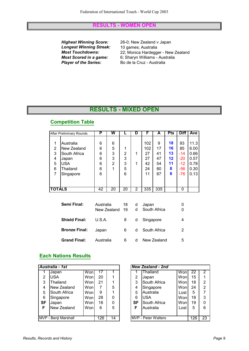#### **RESULTS - WOMEN OPEN**

*Highest Winning Score:* 26-0; New Zealand v Japan *Longest Winning Streak:* 10 games; Australia

*Most Touchdowns:* 22; Monica Hardegger - New Zealand *Most Scored in a game:* 6; Sharyn Williams - Australia *Most Scored in a game:* 6; Sharyn Williams - Australia<br>**Player of the Series:** Bo de la Cruz - Australia *Player of the Series:* Bo de la Cruz - Australia

# **RESULTS - MIXED OPEN**

## **Competition Table**

|                       | After Preliminary Rounds                                                                 | P                               | W                     |                            | D | F                                        | A                                     | <b>Pts</b>                           | <b>Diff</b>                                         | Ave                                                  |
|-----------------------|------------------------------------------------------------------------------------------|---------------------------------|-----------------------|----------------------------|---|------------------------------------------|---------------------------------------|--------------------------------------|-----------------------------------------------------|------------------------------------------------------|
| 2<br>3<br>4<br>5<br>6 | Australia<br>New Zealand<br>South Africa<br>Japan<br><b>USA</b><br>Thailand<br>Singapore | 6<br>6<br>6<br>6<br>6<br>6<br>6 | 6<br>5<br>3<br>3<br>2 | 1<br>2<br>3<br>3<br>5<br>6 |   | 102<br>102<br>27<br>27<br>42<br>24<br>11 | 9<br>17<br>41<br>47<br>54<br>80<br>87 | 18<br>16<br>13<br>12<br>11<br>8<br>6 | 93<br>85<br>-14<br>$-20$<br>$-12$<br>$-56$<br>$-76$ | 11.3<br>6.00<br>0.66<br>0.57<br>0.78<br>0.30<br>0.13 |
| <b>TOTALS</b>         |                                                                                          | 42                              | 20                    | 20                         | 2 | 335                                      | 335                                   |                                      | 0                                                   |                                                      |

| Semi Final:          | Australia<br>New Zealand 19 | 18 | d | Japan<br>d South Africa | O |
|----------------------|-----------------------------|----|---|-------------------------|---|
| <b>Shield Final:</b> | U.S.A.                      | 8  | d | Singapore               | 4 |
| <b>Bronze Final:</b> | Japan                       | 6  | d | South Africa            |   |
| <b>Grand Final:</b>  | Australia                   | 6  | d | New Zealand             | 5 |

## **Each Nations Results**

|           | Australia - 1st      |      |     |    |                | New Zealand - 2nd           |      |     |          |
|-----------|----------------------|------|-----|----|----------------|-----------------------------|------|-----|----------|
|           | Japan                | Won  | 17  |    |                | Thailand                    | Wonl | 22  | 2        |
| 2         | USA                  | Wonl | 20  |    | $\overline{2}$ | Japan                       | Wonl | 15  | 1        |
| 3         | Thailand             | Wonl | 21  |    | 3              | South Africa                | Wonl | 18  | 2        |
| 4         | New Zealand          | Wonl | 7   | 5  | 4              | Singapore                   | Wonl | 24  | 2        |
| 5         | South Africa         | Wonl | 9   |    | 5              | Australia                   | Lost | 5   | 7        |
| 6         | Singapore            | Won  | 28  | 0  | 6              | <b>USA</b>                  | Wonl | 18  | 3        |
| <b>SF</b> | Japan                | Wonl | 18  | 0  | <b>SF</b>      | South Africa                | Wonl | 19  | $\Omega$ |
| F         | New Zealand          | Wonl | 6   | 5  | F              | Australia                   | Lost | 5   | 6        |
|           |                      |      |     |    |                |                             |      |     |          |
|           | MVP - Benji Marshall |      | 126 | 14 |                | <b>IMVP</b> - Peter Walters |      | 126 | 23       |

|                | <b>New Zealand - 2nd</b>   |      |     |                |
|----------------|----------------------------|------|-----|----------------|
| 1              | Thailand                   | Won  | 22  | 2              |
| $\overline{2}$ | Japan                      | Wonl | 15  |                |
| 3              | South Africa               | Wonl | 18  | 2              |
| 4              | Singapore                  | Wonl | 24  | $\overline{2}$ |
| 5              | Australia                  | Lost | 5   | 7              |
| 6              | <b>USA</b>                 | Won  | 18  | 3              |
| SF             | South Africa               | Wonl | 19  | 0              |
| F              | Australia                  | Lost | 5   | 6              |
|                |                            |      |     |                |
|                | <b>MVP</b> - Peter Walters |      | 126 | 23             |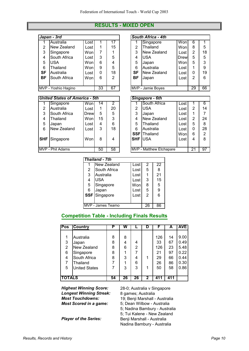#### **RESULTS - MIXED OPEN**

|           | Japan - 3rd         |      |          |    | South Africa - 4th |                   |      |    |    |
|-----------|---------------------|------|----------|----|--------------------|-------------------|------|----|----|
|           | Australia           | Lost |          | 17 |                    | Singapore         | Won  | 6  |    |
| 2         | New Zealand         | Lost | 1        | 15 | 2                  | Thailand          | Wonl | 8  | 5  |
| 3         | Singapore           | Wonl | 7        |    | 3                  | New Zealand       | Lost | 2  | 18 |
| 4         | South Africa        | Lost | 3        | 5  | 4                  | <b>USA</b>        | Drew | 5  | 5  |
| 5         | USA                 | Wonl | 6        | 4  | 5                  | Japan             | Wonl | 5  | 3  |
| 6         | Thailand            | Wonl | 9        | 5  | 6                  | Australia         | Lost |    | 9  |
| SF        | Australia           | Lost | $\Omega$ | 18 | <b>SF</b>          | New Zealand       | Lost | 0  | 19 |
| <b>BF</b> | South Africa        | Wonl | 6        | 2  | <b>BF</b>          | Japan             | Lost | 2  | 6  |
|           |                     |      |          |    |                    |                   |      |    |    |
|           | MVP - Yoshio Hagino |      | 33       | 67 |                    | MVP - Jamie Boyes |      | 29 | 66 |

|    | South Africa - 4th |      |                |    |
|----|--------------------|------|----------------|----|
|    | Singapore          | Won  | 6              |    |
| 2  | Thailand           | Won  | 8              | 5  |
| 3  | New Zealand        | Lost | $\overline{2}$ | 18 |
| 4  | <b>USA</b>         | Drew | 5              | 5  |
| 5  | Japan              | Won  | 5              | 3  |
| 6  | Australia          | Lost | 1              | 9  |
| SF | New Zealand        | Lost | 0              | 19 |
| ВF | Japan              | Lost | 2              | 6  |
|    |                    |      |                |    |
|    | MVP - Jamie Boyes  |      | 29             | 66 |

|            | <b>United States of America - 5th</b> |      |    |    |             | Singapore - 6th                |      |                |                |
|------------|---------------------------------------|------|----|----|-------------|--------------------------------|------|----------------|----------------|
|            | Singapore                             | Wonl | 14 | 2  |             | South Africa                   | Lost |                | 6              |
| 2          | Australia                             | Lost |    | 20 | 2           | <b>USA</b>                     | Lost | 2              | 14             |
| 3          | South Africa                          | Drew | 5  | 5  | 3           | Japan                          | Lost |                | 7              |
| 4          | Thailand                              | Wonl | 15 | 3  | 4           | New Zealand                    | Lost | $\overline{2}$ | 24             |
| 5          | Japan                                 | Lost | 4  | 6  | 5           | Thailand                       | Lost | 5              | 8              |
| 6          | New Zealand                           | Lost | 3  | 18 | 6           | Australia                      | Lost | 0              | 28             |
|            |                                       |      |    |    | <b>SSFI</b> | Thailand                       | Won  | 6              | $\overline{2}$ |
| <b>SHF</b> | Singapore                             | Won  | 8  | 4  | <b>SHF</b>  | <b>USA</b>                     | Lost | 4              | 8              |
|            |                                       |      |    |    |             |                                |      |                |                |
|            | MVP - Phil Adams                      |      | 50 | 58 |             | <b>MVP - Matthew Etchapare</b> |      | 21             | 97             |

|                 | Singapore - 6th         |      |                |                |
|-----------------|-------------------------|------|----------------|----------------|
|                 | South Africa            | Lost |                | 6              |
| $\overline{2}$  | USA                     | Lost | $\overline{2}$ | 14             |
| 3               | Japan                   | Lost |                | 7              |
| $\overline{4}$  | New Zealand             | Lost | 2              | 24             |
| 5               | Thailand                | Lost | 5              | 8              |
| 6               | Australia               | Lost | 0              | 28             |
|                 | <b>SSF</b> Thailand     | Won  | 6              | $\overline{2}$ |
| <b>SHF JUSA</b> |                         | Lost | 4              | 8              |
|                 |                         |      |                |                |
|                 | MVP - Matthew Etchapare |      | 21             | 97             |

|   | Thailand - 7th    |      |    |    |
|---|-------------------|------|----|----|
|   | New Zealand       | Lost | 2  | 22 |
| 2 | South Africa      | Lost | 5  | 8  |
| 3 | Australia         | Lost |    | 21 |
| 4 | <b>USA</b>        | Lost | 3  | 15 |
| 5 | Singapore         | Won  | 8  | 5  |
| 6 | Japan             | Lost | 5  | 9  |
|   | SSF Singapore     | Lost | 2  | 6  |
|   |                   |      |    |    |
|   | MVP - James Teamo |      | 26 | 86 |

#### **Competition Table - Including Finals Results**

| Pos            | Country              | Р  | w  |    | D           |     | А   | <b>AVE</b> |
|----------------|----------------------|----|----|----|-------------|-----|-----|------------|
|                |                      |    |    |    |             |     |     |            |
|                | Australia            | 8  | 8  |    |             | 126 | 14  | 9.00       |
| 3              | Japan                | 8  | 4  | 4  |             | 33  | 67  | 0.49       |
| $\overline{2}$ | New Zealand          | 8  | 6  | 2  |             | 126 | 23  | 5.48       |
| 6              | Singapore            | 8  |    |    |             | 21  | 97  | 0.22       |
| 4              | South Africa         | 8  | 3  | 4  | 1           | 29  | 66  | 0.44       |
| 7              | Thailand             |    |    | 6  |             | 26  | 86  | 0.30       |
| 5              | <b>United States</b> |    | 3  | 3  | 1           | 50  | 58  | 0.86       |
|                |                      |    |    |    |             |     |     |            |
| <b>TOTALS</b>  |                      | 54 | 26 | 26 | $\mathbf 2$ | 411 | 411 |            |

*Longest Winning Streak:* 8 games; Australia

*Highest Winning Score:* 28-0; Australia v Singapore *Most Touchdowns:* 19; Benji Marshall - Australia<br>**Most Scored in a game:** 5; Dean Wilbow - Australia *Most Scored in a game:* 5; Dean Wilbow - Australia 5; Nadina Bambury - Australia 5; Tui Kalene - New Zealand **Player of the Series:** Benji Marshall - Australia Nadina Bambury - Australia

*Results, Records and History Page 10*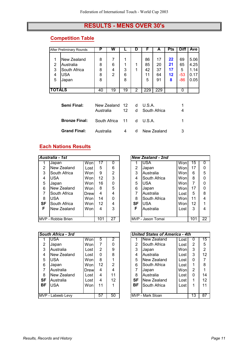# **RESULTS - MENS OVER 30's**

## **Competition Table**

|                  | <b>After Preliminary Rounds</b>                                 | Р                     | w           |             | D |                           | A                          | Pts                       | <b>Diff</b>                     | Ave                                  |
|------------------|-----------------------------------------------------------------|-----------------------|-------------|-------------|---|---------------------------|----------------------------|---------------------------|---------------------------------|--------------------------------------|
| 2<br>3<br>4<br>5 | New Zealand<br>Australia<br>South Africa<br><b>USA</b><br>Japan | 8<br>8<br>8<br>8<br>8 | 6<br>4<br>2 | 3<br>6<br>8 |   | 86<br>85<br>42<br>11<br>5 | 17<br>20<br>37<br>64<br>91 | 22<br>21<br>17<br>12<br>8 | 69<br>65<br>5<br>$-53$<br>$-86$ | 5.06<br>4.25<br>1.14<br>0.17<br>0.05 |
| <b>TOTALS</b>    |                                                                 | 40                    | 19          | 19          | 2 | 229                       | 229                        |                           | 0                               |                                      |

| Semi Final:                                   | New Zealand 12 d U.S.A.<br>Australia |   | 12 d South Africa | 4 |
|-----------------------------------------------|--------------------------------------|---|-------------------|---|
| <b>Bronze Final:</b> South Africa 11 d U.S.A. |                                      |   |                   |   |
| <b>Grand Final:</b>                           | Australia                            | 4 | d New Zealand     |   |

## **Each Nations Results**

|           | Australia - 1st    |       |     |    |                | New Zealand - 2nd |      |     |          |
|-----------|--------------------|-------|-----|----|----------------|-------------------|------|-----|----------|
|           | Japan              | Won   | 17  |    |                | IUSA              | Wonl | 15  | $\Omega$ |
| 2         | New Zealand        | Lost  | 5   | 6  | $\overline{2}$ | Japan             | Wonl | 17  | 0        |
| 3         | South Africa       | Wonl  | 9   | 2  | 3              | Australia         | Wonl | 6   | 5        |
| 4         | USA                | Wonl  | 12  | 3  | 4              | South Africa      | Wonl | 8   | $\Omega$ |
| 5         | Japan              | Won   | 16  | 0  | 5              | <b>USA</b>        | Wonl |     | $\Omega$ |
| 6         | New Zealand        | Wonl  | 8   | 5  | 6              | Japan             | Wonl | 17  | $\Omega$ |
| 7         | South Africa       | Drewl | 4   | 4  | 7              | Australia         | Lost | 5   | 8        |
| 8         | USA                | Wonl  | 14  | ი  | 8              | South Africa      | Wonl | 11  | 4        |
| <b>SF</b> | South Africa       | Wonl  | 12  | 4  | <b>SF</b>      | <b>USA</b>        | Wonl | 12  | 1        |
| F         | New Zealand        | Wonl  | 4   | 3  | F              | Australia         | Lost | 3   | 4        |
|           |                    |       |     |    |                |                   |      |     |          |
|           | MVP - Robbie Brien |       | 101 | 27 |                | MVP - Jason Tomai |      | 101 | 22       |

|                                               | <b>New Zealand - 2nd</b>                  |      |     |                 |  |  |  |  |  |  |  |  |  |
|-----------------------------------------------|-------------------------------------------|------|-----|-----------------|--|--|--|--|--|--|--|--|--|
| 1                                             | <b>USA</b><br>$\overline{15}$<br>Won<br>0 |      |     |                 |  |  |  |  |  |  |  |  |  |
| 17<br>$\overline{2}$<br>Won<br>Japan<br>0     |                                           |      |     |                 |  |  |  |  |  |  |  |  |  |
| $\overline{3}$<br>5<br>Australia<br>6<br>Won  |                                           |      |     |                 |  |  |  |  |  |  |  |  |  |
| 4<br>8<br>Wonl<br>0<br>South Africa           |                                           |      |     |                 |  |  |  |  |  |  |  |  |  |
| $\overline{7}$<br>5<br><b>USA</b><br>0<br>Won |                                           |      |     |                 |  |  |  |  |  |  |  |  |  |
| 6                                             | 17<br>0<br>Japan<br>Won                   |      |     |                 |  |  |  |  |  |  |  |  |  |
| $\overline{7}$                                | Australia                                 | Lost | 5   | 8               |  |  |  |  |  |  |  |  |  |
| 8                                             | South Africa                              | Wonl | 11  | 4               |  |  |  |  |  |  |  |  |  |
| SF                                            | <b>USA</b>                                | Won  | 12  |                 |  |  |  |  |  |  |  |  |  |
| F                                             | Australia                                 | Lost | 3   | 4               |  |  |  |  |  |  |  |  |  |
|                                               |                                           |      |     |                 |  |  |  |  |  |  |  |  |  |
|                                               | MVP - Jason Tomai                         |      | 101 | $\overline{22}$ |  |  |  |  |  |  |  |  |  |

|           | South Africa - 3rd |      |    |    |                  | <b>United States of America - 4th</b> |        |                 |                |
|-----------|--------------------|------|----|----|------------------|---------------------------------------|--------|-----------------|----------------|
|           | USA.               | Won  | 5  | 2  |                  | New Zealand                           | Lost   |                 | 15             |
| 2         | Japan              | Wonl |    | O  | $\overline{2}$   | South Africa                          | Lost   | 2               | 5              |
| 3         | Australia          | Lost | 2  | 9  | 3                | Japan                                 | Wonl   | 3               | 2              |
| 4         | New Zealand        | Lost | 0  | 8  | 4                | Australia                             | Lost i | 3               | 12             |
| 5         | <b>USA</b>         | Wonl | 8  |    | 5                | New Zealand                           | Lost   | 0               | $\overline{7}$ |
| 6         | Japan              | Wonl | 12 | 2  | 6                | South Africa                          | Lost   |                 | 8              |
| 7         | Australia          | Drew | 4  | 4  | 7                | Japan                                 | Wonl   | 2               | 1              |
| 8         | New Zealand        | Lost | 4  | 11 | 8                | Australia                             | Lost   | 0               | 14             |
| <b>SF</b> | Australia          | Lost | 4  | 12 | <b>SF</b>        | New Zealand                           | Lost   |                 | 12             |
| BF        | USA                | Wonl | 11 |    | BF               | South Africa                          | Lost   |                 | 11             |
|           |                    |      |    |    |                  |                                       |        |                 |                |
|           | MVP - Labeeb Levy  | 57   | 50 |    | MVP - Mark Sloan |                                       | 13     | $\overline{87}$ |                |

|                |                              |      |    |    | <b>United States of America - 4th</b> |                   |      |    |    |  |
|----------------|------------------------------|------|----|----|---------------------------------------|-------------------|------|----|----|--|
|                | outh Africa - 3rd            |      |    |    |                                       |                   |      |    |    |  |
|                | <b>USA</b>                   | Won  | 5  | 2  |                                       | New Zealand       | Lost | O  | 15 |  |
| $\overline{2}$ | Japan                        | Won  |    | 0  | 2                                     | South Africa      | Lost | 2  | 5  |  |
| 3              | Australia                    | Lost | 2  | 9  | 3                                     | Japan             | Wonl | 3  | 2  |  |
| 4              | New Zealand                  | Lost | 0  | 8  | 4                                     | Australia         | Lost | 3  | 12 |  |
| 5              | <b>USA</b>                   | Wonl | 8  |    | 5                                     | New Zealand       | Lost | ი  |    |  |
| 6              | Japan                        | Wonl | 12 | 2  | 6                                     | South Africa      | Lost |    | 8  |  |
| 7              | Australia                    | Drew | 4  | 4  |                                       | Japan             | Wonl | 2  |    |  |
| 8              | New Zealand                  | Lost | 4  | 11 | 8                                     | Australia         | Lost | 0  | 14 |  |
| ١F             | Australia                    | Lost | 4  | 12 | <b>SF</b>                             | New Zealand       | Lost |    | 12 |  |
| ۱F             | <b>USA</b>                   | Wonl | 11 |    | <b>BF</b>                             | South Africa      | Lost | 1  | 11 |  |
|                |                              |      |    |    |                                       |                   |      |    |    |  |
|                | VP - Labeeb Levy<br>57<br>50 |      |    |    |                                       | IMVP - Mark Sloan |      | 13 | 87 |  |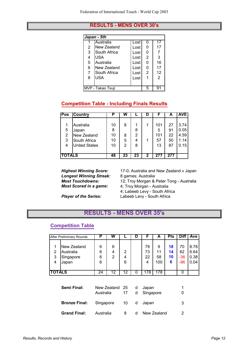#### **RESULTS - MENS OVER 30's**

|   | Japan - 5th       |      |   |    |  |  |  |  |  |  |
|---|-------------------|------|---|----|--|--|--|--|--|--|
|   | Australia         | Lost | 0 | 17 |  |  |  |  |  |  |
| 2 | New Zealand       | Lost | ი | 17 |  |  |  |  |  |  |
| 3 | South Africa      | Lost | 0 | 7  |  |  |  |  |  |  |
| 4 | <b>USA</b>        | Lost | 2 | 3  |  |  |  |  |  |  |
| 5 | Australia         | Lost | 0 | 16 |  |  |  |  |  |  |
| 6 | New Zealand       | Lost | ი | 17 |  |  |  |  |  |  |
| 7 | South Africa      | Lost | 2 | 12 |  |  |  |  |  |  |
| 8 | USA               | Lost |   | 2  |  |  |  |  |  |  |
|   |                   |      |   |    |  |  |  |  |  |  |
|   | MVP - Takao Tsuji |      | 5 |    |  |  |  |  |  |  |

## **Competition Table - Including Finals Results**

| Pos           | <b>Country</b>       | P  | W  |    |   |     | А   | AVE  |
|---------------|----------------------|----|----|----|---|-----|-----|------|
|               |                      |    |    |    |   |     |     |      |
| 1             | Australia            | 10 | 8  |    | 1 | 101 | 27  | 3.74 |
| 5             | Japan                | 8  |    | 8  |   | 5   | 91  | 0.05 |
| 2             | New Zealand          | 10 | 8  | 2  |   | 101 | 22  | 4.59 |
| 3             | South Africa         | 10 | 5  | 4  |   | 57  | 50  | 1.14 |
| 4             | <b>United States</b> | 10 | 2  | 8  |   | 13  | 87  | 0.15 |
|               |                      |    |    |    |   |     |     |      |
| <b>TOTALS</b> |                      | 48 | 23 | 23 | 2 | 277 | 277 |      |

**Longest Winning Streak:**<br>Most Touchdowns:

**Highest Winning Score:** 17-0; Australia and New Zealand v Japan Longest Winning Streak: 8 games; Australia *Most Touchdowns:* 12; Troy Morgan & Peter Tong - Australia *Most Scored in a game:* 4; Troy Morgan - Australia 4; Labeeb Levy - South Africa **Player of the Series:** Labeeb Levy - South Africa

# **RESULTS - MENS OVER 35's**

#### **Competition Table**

|                               | After Preliminary Rounds                       | Ρ                | W                        |             | D      | F                   | A                    | <b>Pts</b>          | Diff                     | Ave                          |
|-------------------------------|------------------------------------------------|------------------|--------------------------|-------------|--------|---------------------|----------------------|---------------------|--------------------------|------------------------------|
| 1<br>$\overline{2}$<br>3<br>4 | New Zealand<br>Australia<br>Singapore<br>Japan | 6<br>6<br>6<br>6 | 6<br>4<br>$\overline{2}$ | 2<br>4<br>6 |        | 79<br>73<br>22<br>4 | 9<br>11<br>58<br>100 | 18<br>14<br>10<br>6 | 70<br>62<br>$-36$<br>-96 | 8.78<br>6.64<br>0.38<br>0.04 |
| TOTALS                        |                                                | 24               | 12                       | 12          | 0      | 178                 | 178                  |                     | 0                        |                              |
| Semi Final:                   |                                                | Australia        | New Zealand              | 25<br>17    | d<br>d | Japan<br>Singapore  |                      |                     | 1<br>0                   |                              |
| <b>Bronze Final:</b>          |                                                | Singapore        |                          | 10          | d      | Japan               |                      | 3                   |                          |                              |
|                               | <b>Grand Final:</b>                            | Australia        |                          | 8           | d      |                     | New Zealand          |                     | 2                        |                              |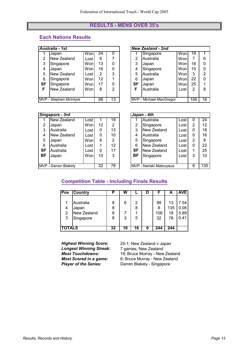#### **RESULTS - MENS OVER 35's**

# **Each Nations Results**

|           | Australia - 1st        |       |    |    |           | <b>New Zealand - 2nd</b> |      |     |                |
|-----------|------------------------|-------|----|----|-----------|--------------------------|------|-----|----------------|
|           | Japan                  | Wonl  | 24 |    |           | Singapore                | Won  | 19  |                |
| 2         | New Zealand            | Lostl | 6  |    | 2         | Australia                | Wonl |     | 6              |
| 3         | Singapore              | Wonl  | 13 |    | 3         | Japan                    | Wonl | 18  | 0              |
| 4         | Japan                  | Wonl  | 16 | 0  | 4         | Singapore                | Wonl | 10  | 0              |
| 5         | New Zealand            | Lost  | 2  | 3  | 5         | Australia                | Wonl | 3   | $\overline{2}$ |
| 6         | Singapore              | Wonl  | 12 |    | 6         | Japan                    | Wonl | 22  | $\Omega$       |
| <b>SF</b> | Singapore              | Wonl  | 17 | 0  | <b>SF</b> | Japan                    | Wonl | 25  | 1              |
| F         | New Zealand            | Wonl  | 8  | 2  | F         | Australia                | Lost | 2   | 8              |
|           |                        |       |    |    |           |                          |      |     |                |
|           | MVP - Stephen McIntyre |       | 98 | 13 |           | MVP - Michael MacGregor  |      | 106 | 18             |

|                                              | <b>New Zealand - 2nd</b>             |      |    |   |  |  |  |  |  |  |
|----------------------------------------------|--------------------------------------|------|----|---|--|--|--|--|--|--|
|                                              | Singapore                            | Won  | 19 |   |  |  |  |  |  |  |
| $\overline{2}$                               | Australia                            | Won  |    | 6 |  |  |  |  |  |  |
| 3<br>Wonl<br>18<br>0<br>Japan                |                                      |      |    |   |  |  |  |  |  |  |
| 4                                            | Singapore                            | Wonl | 10 | 0 |  |  |  |  |  |  |
| $\overline{2}$<br>Australia<br>5<br>3<br>Won |                                      |      |    |   |  |  |  |  |  |  |
| 6                                            | Japan                                | Won  | 22 | 0 |  |  |  |  |  |  |
| SF                                           | Japan                                | Wonl | 25 |   |  |  |  |  |  |  |
| F                                            | Australia                            | Lost | 2  | 8 |  |  |  |  |  |  |
|                                              |                                      |      |    |   |  |  |  |  |  |  |
|                                              | MVP - Michael MacGregor<br>106<br>18 |      |    |   |  |  |  |  |  |  |

|           | Singapore - 3rd      |      |    |    |           | Japan - 4th             |      |                |     |
|-----------|----------------------|------|----|----|-----------|-------------------------|------|----------------|-----|
|           | New Zealand          | Lost |    | 19 |           | Australia               | Lost | U              | 24  |
| 2         | Japan                | Wonl | 12 | 2  | 2         | Singapore               | Lost | 2              | 12  |
| 3         | Australia            | Lost | 0  | 13 | 3         | New Zealand             | Lost | 0              | 18  |
| 4         | New Zealand          | Lost | 0  | 10 | 4         | Australia               | Lost | 0              | 16  |
| 5         | Japan                | Wonl | 8  | 2  | 5         | Singapore               | Lost | $\overline{2}$ | 8   |
| 6         | Australia            | Lost |    | 12 | 6         | New Zealand             | Lost | 0              | 22  |
| <b>SF</b> | Australia            | Lost | 0  | 17 | SF        | New Zealand             | Lost | 1              | 25  |
| <b>BF</b> | Japan                | Wonl | 10 | 3  | <b>BF</b> | Singapore               | Lost | 3              | 10  |
|           |                      |      |    |    |           |                         |      |                |     |
|           | MVP - Darren Blakely |      |    | 78 |           | MVP - Nariaki Matsuyaua |      | 8              | 135 |

|                                               | Japan - 4th             |      |   |     |  |  |  |  |  |  |  |
|-----------------------------------------------|-------------------------|------|---|-----|--|--|--|--|--|--|--|
|                                               | Australia               | Lost | 0 | 24  |  |  |  |  |  |  |  |
| 2                                             | Singapore               | Lost | 2 | 12  |  |  |  |  |  |  |  |
| New Zealand<br>3<br>0<br>18<br>Lost           |                         |      |   |     |  |  |  |  |  |  |  |
| 4<br>16<br>Australia<br>0<br>Lost             |                         |      |   |     |  |  |  |  |  |  |  |
| 5<br>$\overline{2}$<br>Singapore<br>Lost<br>8 |                         |      |   |     |  |  |  |  |  |  |  |
| 6                                             | New Zealand             | Lost | 0 | 22  |  |  |  |  |  |  |  |
| SF                                            | New Zealand             | Lost | 1 | 25  |  |  |  |  |  |  |  |
| BF                                            | Singapore               | Lost | 3 | 10  |  |  |  |  |  |  |  |
|                                               |                         |      |   |     |  |  |  |  |  |  |  |
|                                               | MVP - Nariaki Matsuyaua |      | 8 | 135 |  |  |  |  |  |  |  |

#### **Competition Table - Including Finals Results**

| Pos         | <b>Country</b>                                 |                  | W      |             |                      | А                     | <b>AVE</b>                   |
|-------------|------------------------------------------------|------------------|--------|-------------|----------------------|-----------------------|------------------------------|
| 4<br>2<br>3 | Australia<br>Japan<br>New Zealand<br>Singapore | 8<br>8<br>8<br>8 | 6<br>3 | 2<br>8<br>5 | 98<br>8<br>106<br>32 | 13<br>135<br>18<br>78 | 7.54<br>0.06<br>5.89<br>0.41 |
|             | <b>TALS</b>                                    | 32               | 16     | 16          | 244                  | 244                   |                              |

**Longest Winning Streak:<br>Most Touchdowns:** 

*Highest Winning Score:* 25-1; New Zealand v Japan<br>**Longest Winning Streak:** 7 games; New Zealand *Most Touchdowns:* 19; Bruce Murray - New Zealand<br>**Most Scored in a game:** 8; Bruce Murray - New Zealand *Most Scored in a game:* 8; Bruce Murray - New Zealand *Player of the Series:* Darren Blakely - Singapore *Player of the Series:* Darren Blakely - Singapore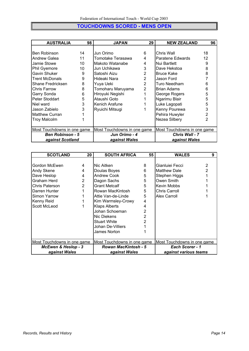## **TOUCHDOWNS SCORED - MENS OPEN**

| <b>AUSTRALIA</b>            | 98 | <b>JAPAN</b>                | 29             | <b>NEW ZEALAND</b>          | 96 |
|-----------------------------|----|-----------------------------|----------------|-----------------------------|----|
|                             |    |                             |                |                             |    |
| Ben Robinson                | 14 | Jun Orimo                   | 6              | Chris Wall                  | 18 |
| Andrew Galea                | 11 | Tomotake Terasawa           | 4              | Paratene Edwards            | 12 |
| Jamie Stowe                 | 10 | Makoto Watanabe             | 4              | Nui Bartlett                | 9  |
| <b>Phil Gyemore</b>         | 10 | Jun Uchikawa                | 3              | Dave Hekstoa                | 8  |
| Gavin Shuker                | 9  | Satoshi Aizu                | 2              | <b>Bruce Kake</b>           | 8  |
| <b>Trent McDonals</b>       | 9  | Hideaki Nara                | 2              | Jason Ford                  |    |
| Shane Fredricksen           | 8  | Yuya Ueki                   | $\overline{2}$ | Turo Needham                | 6  |
| <b>Chris Farrow</b>         | 8  | Tomoharu Maruyama           | $\overline{2}$ | <b>Brian Adams</b>          | 6  |
| Garry Sonda                 | 6  | Hiroyuki Negishi            |                | George Rogers               | 5  |
| Peter Stoddart              | 5  | Ataushi Goto                |                | Ngarimu Blair               | 5  |
| Niel ward                   | 3  | Kenich Arafune              |                | Luke Lagopati               | 5  |
| Jason Zabielo               | 3  | Ryuichi Mitsugi             |                | Kenny Pourewa               | 3  |
| <b>Matthew Curran</b>       |    |                             |                | Pehira Huwyler              |    |
| <b>Troy Malcolm</b>         |    |                             |                | Nezea Silbery               | 2  |
|                             |    |                             |                |                             |    |
| Most Touchdowns in one game |    | Most Touchdowns in one game |                | Most Touchdowns in one game |    |
| <b>Ben Robinson - 5</b>     |    | Jun Orimo - 4               |                | <b>Chris Wall - 7</b>       |    |
| against Scotland            |    | against Wales               |                | against Wales               |    |

| <b>SCOTLAND</b>                | 20             | <b>SOUTH AFRICA</b>         | 55              | <b>WALES</b>                | 9 |
|--------------------------------|----------------|-----------------------------|-----------------|-----------------------------|---|
|                                |                |                             |                 |                             |   |
| Gordon McEwen                  | 4              | INic Aitken                 | 8               | Gianluiei Fecci             |   |
| <b>Andy Skene</b>              | 4              | Doulas Boyes                | 6               | <b>Matthew Dale</b>         |   |
| Dave Heslop                    | 4              | Andrew Cook                 | 5               | Stephen Higgs               |   |
| Graham Herd                    | $\overline{2}$ | Dagon Sachs                 | 5               | Owen Smith                  |   |
| <b>Chris Paterson</b>          | $\overline{2}$ | <b>Grant Metcalf</b>        | 5               | Kevin Mobbs                 |   |
| Darren Hunter                  | 1              | Rowan MacKintosh            | 5               | <b>Chris Carroll</b>        |   |
| Simon Yarrow                   |                | Attie Van-de-Linde          | 5               | Alex Carroll                |   |
| Kenny Reid                     |                | Kim Warmsley-Crowy          | 4               |                             |   |
| Scott McLeod                   |                | <b>Klaps Alberts</b>        | 4               |                             |   |
|                                |                | Johan Schoeman              | 2               |                             |   |
|                                |                | Nic Diekens                 | 2               |                             |   |
|                                |                | <b>Stuart White</b>         | 2               |                             |   |
|                                |                | Johan De-Villiers           |                 |                             |   |
|                                |                | James Norton                |                 |                             |   |
|                                |                |                             |                 |                             |   |
| Most Touchdowns in one game    |                | Most Touchdowns in one game |                 | Most Touchdowns in one game |   |
| <b>McEwen &amp; Heslop - 3</b> |                | <b>Rowan MacKintosh - 5</b> | Each Scorer - 1 |                             |   |
| against Wales                  |                | against Wales               |                 | against various teams       |   |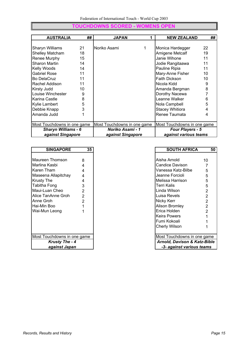# **TOUCHDOWNS SCORED - WOMENS OPEN**

| <b>AUSTRALIA</b>            | ## | <b>JAPAN</b>                | 1 | <b>NEW ZEALAND</b>          | ## |
|-----------------------------|----|-----------------------------|---|-----------------------------|----|
|                             |    |                             |   |                             |    |
| <b>Sharyn Williams</b>      | 21 | Noriko Asami                |   | Monica Hardegger            | 22 |
| <b>Shelley Matcham</b>      | 18 |                             |   | Amigene Metcalf             | 19 |
| Renee Murphy                | 15 |                             |   | Janie Wihone                | 11 |
| Sharon Martin               | 14 |                             |   | Jodie Rangitaawa            | 11 |
| Kelly Woods                 | 14 |                             |   | Pauline Ripia               | 11 |
| <b>Gabriel Rose</b>         | 11 |                             |   | Mary-Anne Fisher            | 10 |
| <b>Bo DelaCruz</b>          | 11 |                             |   | <b>Faith Dickson</b>        | 10 |
| Rachel Addison              | 11 |                             |   | Nicola Kidd                 | 9  |
| Kirsty Judd                 | 10 |                             |   | Amanda Bergman              | 8  |
| Louise Winchester           | 9  |                             |   | Dorothy Nacewa              |    |
| Karina Castle               | 8  |                             |   | Leanne Walker               | 6  |
| <b>Kylie Lambert</b>        | 5  |                             |   | Nola Campbell               | 5  |
| Debbie Knapp                | 3  |                             |   | <b>Stacey Whitiora</b>      | 4  |
| Amanda Judd                 |    |                             |   | Renee Taumata               | 4  |
|                             |    |                             |   |                             |    |
| Most Touchdowns in one game |    | Most Touchdowns in one game |   | Most Touchdowns in one game |    |
| <b>Sharyn Williams - 6</b>  |    | Noriko Asami - 1            |   | <b>Four Players - 5</b>     |    |
| against Singapore           |    | against Singapore           |   | against various teams       |    |

| <b>SINGAPORE</b>            | 35             | <b>SOUTH AFRICA</b>                     | 5              |
|-----------------------------|----------------|-----------------------------------------|----------------|
|                             |                |                                         |                |
| Maureen Thomson             | 8              | Aisha Arnold                            | 10             |
| Marlina Kasbi               |                | Candice Davison                         |                |
| Karen Tham                  |                | Vanessa Katz-Bilbe                      | 5              |
| Maseena Allapitchay         | 4              | Jeanne Forcioli                         | 5              |
| <b>Krusty The</b>           | 4              | Melissa Harrison                        | 5              |
| Tabitha Fong                | 3              | Terri Kalis                             | 5              |
| Maui-Luan Cheo              | 2              | Linda Wilson                            | 2              |
| Alice TanAnne Groh          | $\overline{2}$ | Luisa Revels                            | $\overline{2}$ |
| Anne Groh                   | 2              | Nicky Kerr                              | $\overline{2}$ |
| IHai-Min Boo                |                | Alison Bromley                          | $\overline{2}$ |
| Wai-Mun Leong               |                | Erica Holden                            | $\overline{2}$ |
|                             |                | <b>Keira Powers</b>                     |                |
|                             |                | Fumi Kokoali                            |                |
|                             |                | Cherly Wilson                           |                |
|                             |                |                                         |                |
| Most Touchdowns in one game |                | Most Touchdowns in one game             |                |
| <b>Krusty The - 4</b>       |                | <b>Arnold, Davison &amp; Katz-Bible</b> |                |
| against Japan               |                | -3- against various teams               |                |

| <b>SINGAPORE</b>      | 35             | <b>SOUTH AFRICA</b>          | 50             |
|-----------------------|----------------|------------------------------|----------------|
|                       |                |                              |                |
| n Thomson             | 8              | Aisha Arnold                 | 10             |
| Kasbi                 | 4              | <b>Candice Davison</b>       |                |
| `ham                  | 4              | Vanessa Katz-Bilbe           | 5              |
| a Allapitchay         | 4              | Jeanne Forcioli              | 5              |
| The                   | 4              | Melissa Harrison             | 5              |
| Fong                  | 3              | <b>Terri Kalis</b>           | 5              |
| uan Cheo              | $\overline{2}$ | Linda Wilson                 | 2              |
| anAnne Groh           | $\overline{2}$ | Luisa Revels                 | $\overline{2}$ |
| roh                   | $\overline{2}$ | Nicky Kerr                   | $\overline{2}$ |
| ı Boo                 |                | Alison Bromley               | $\overline{2}$ |
| ın Leong              |                | Erica Holden                 | $\overline{2}$ |
|                       |                | <b>Keira Powers</b>          |                |
|                       |                | Fumi Kokoali                 |                |
|                       |                | Cherly Wilson                |                |
|                       |                |                              |                |
| buchdowns in one game |                | Most Touchdowns in one game  |                |
| <b>Krusty The - 4</b> |                | Arnold, Davison & Katz-Bible |                |
| against Japan         |                | -3- against various teams    |                |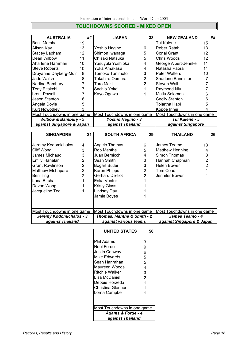## **TOUCHDOWNS SCORED - MIXED OPEN**

| <b>AUSTRALIA</b>                | ## | <b>JAPAN</b>                | 33 | <b>NEW ZEALAND</b>          | ## |
|---------------------------------|----|-----------------------------|----|-----------------------------|----|
| Benji Marshall                  | 19 |                             |    | Tui Kalene                  | 15 |
| Alison Kay                      | 13 | Yoshio Hagino               | 6  | Rober Ratahi                | 13 |
| Stacey Lapham                   | 12 | Shimon Iwanaga              | 5  | Conal Grant                 | 12 |
| Dean Wilbow                     | 11 | Chisaki Natsuka             | 5  | Chris Woods                 | 12 |
| Aharlene Harriman               | 10 | Yasuyuki Yoshioka           | 4  | George Albert-Jehnke        | 11 |
| <b>Steve Roberts</b>            | 10 | Yoka Amakasu                | 4  | Natasha Paora               | 11 |
| Druyanne Dayberg-Muir           | 8  | Tomoko Tanimoto             | 3  | <b>Peter Walters</b>        | 10 |
| Jade Walsh                      | 8  | Takahiro Oomura             | 2  | Sharlene Bannister          |    |
| Nadina Bambury                  |    | Taro Maki                   | 2  | Steven Wall                 |    |
| Tony Eltakchi                   |    | Sachio Yokoi                |    | Raymond Niu                 |    |
| brent Powell                    |    | Kayo Ogawa                  |    | Matiu Soloman               | 6  |
| Jason Stanton                   | 6  |                             |    | Cecily Stanton              | 6  |
| Angela Doyle                    | 5  |                             |    | Tolartha Hapi               |    |
| Kurt Nowothey                   |    |                             |    | Kopoe Irihei                |    |
| Most Touchdowns in one game     |    | Most Touchdowns in one game |    | Most Touchdowns in one game |    |
| <b>Wilbow &amp; Bambury - 5</b> |    | Yoshio Hagino - 3           |    | Tui Kalene - 5              |    |
| against Singapore & Japan       |    | against Thailand            |    | against Singapore           |    |

| <b>SINGAPORE</b>            | 21             | <b>SOUTH AFRICA</b>                   | 29            | <b>THAILAND</b>             | 26 |
|-----------------------------|----------------|---------------------------------------|---------------|-----------------------------|----|
|                             |                |                                       |               |                             |    |
| Jeremy Kodomichalos         | 4              | Angelo Thomas                         | 6             | James Teamo                 | 13 |
| Cliff Wong                  | 3              | Rob Manthe                            | 5             | <b>Matthew Henning</b>      | 4  |
| James Michaud               | 3              | Juan Bernicchi                        | 4             | Simon Thomas                | 3  |
| Emily Flanalan              | 2              | Sean Smith                            | 3             | Hannah Chapman              | 2  |
| <b>Grant Rawlinson</b>      | $\overline{2}$ | <b>Bogart Butler</b>                  | 3             | Helen Bower                 | 2  |
| Matthew Etchapare           | $\overline{2}$ | Karen Phipps                          | 2             | Tom Coad                    |    |
| Ben Ting                    | $\overline{2}$ | Gerhard De-tiot                       | $\mathcal{P}$ | Jennifer Bower              |    |
| Lana Birchall               |                | Enka Venter                           |               |                             |    |
| Devon Wong                  |                | <b>Kristy Glass</b>                   |               |                             |    |
| Jacqueline Ted              |                | Lindsay Day                           |               |                             |    |
|                             |                | Jamie Boyes                           |               |                             |    |
|                             |                |                                       |               |                             |    |
|                             |                |                                       |               |                             |    |
| Most Touchdowns in one game |                | Most Touchdowns in one game           |               | Most Touchdowns in one game |    |
| Jeremy Kodomichalos - 3     |                | <b>Thomas, Manthe &amp; Smith - 2</b> |               | James Teamo - 4             |    |
| against Thailand            |                | against various teams                 |               | against Singapore & Japan   |    |

| <b>UNITED STATES</b>        |                | 50 |  |  |  |
|-----------------------------|----------------|----|--|--|--|
|                             |                |    |  |  |  |
| Phil Adams                  | 13             |    |  |  |  |
| Noel Forde                  | 9              |    |  |  |  |
| Justin Conway               | 6              |    |  |  |  |
| Mike Edwards                | 5              |    |  |  |  |
| Sean Hanrahan               | 5              |    |  |  |  |
| Maureen Woods               | 4              |    |  |  |  |
| <b>Ritchie Walker</b>       | 3              |    |  |  |  |
| Lisa McDaniel               | $\overline{2}$ |    |  |  |  |
| Debbie Horzeda              | 1              |    |  |  |  |
| Christina Glennon           | 1              |    |  |  |  |
| Lorna Campbell              | 1              |    |  |  |  |
|                             |                |    |  |  |  |
|                             |                |    |  |  |  |
| Most Touchdowns in one game |                |    |  |  |  |
| Adams & Forde - 4           |                |    |  |  |  |
| against Thailand            |                |    |  |  |  |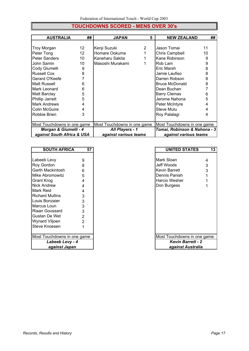# **TOUCHDOWNS SCORED - MENS OVER 30's**

| <b>AUSTRALIA</b>            | ## | <b>JAPAN</b>                | 5 | <b>NEW ZEALAND</b>           | ## |
|-----------------------------|----|-----------------------------|---|------------------------------|----|
|                             |    |                             |   |                              |    |
| Troy Morgan                 | 12 | Kenji Suzuki                | 2 | Jason Tomai                  | 11 |
| Peter Tong                  | 12 | Homare Ookuma               |   | Chris Campbell               | 10 |
| Peter Sanders               | 10 | Kaneharu Sakita             |   | Kane Robinson                | 9  |
| John Samin                  | 10 | Masoshi Murakami            |   | Rob Lam                      | 9  |
| Cody Giumelli               | 9  |                             |   | Eric Marsh                   | 8  |
| <b>Russell Cox</b>          | 8  |                             |   | Jamie Laufiso                | 8  |
| Gerard O'Keefe              |    |                             |   | Darren Robson                | 8  |
| Matt Russell                | 6  |                             |   | <b>Bruce McDonald</b>        | 8  |
| Mark Leonard                | 6  |                             |   | Dean Buchan                  |    |
| Matt Barclay                | 5  |                             |   | <b>Barry Clemas</b>          | 6  |
| Phillip Jarrett             | 5  |                             |   | Jerome Nahona                | 5  |
| <b>Mark Andrews</b>         | 4  |                             |   | Peter McIntyre               | 4  |
| <b>Colin McGuire</b>        | 4  |                             |   | Steve Mutu                   |    |
| Robbie Brien                | 3  |                             |   | Roy Palalagi                 | 4  |
|                             |    |                             |   |                              |    |
| Most Touchdowns in one game |    | Most Touchdowns in one game |   | Most Touchdowns in one game  |    |
| Morgan & Giumelli - 4       |    | <b>All Players - 1</b>      |   | Tomai, Robinson & Nahona - 3 |    |
| against South Africa & USA  |    | against various teams       |   | against various teams        |    |

| <b>SOUTH AFRICA</b>         | 57 | <b>UNITED STATES</b>        | 1: |
|-----------------------------|----|-----------------------------|----|
|                             |    |                             |    |
| Labeeb Levy                 | 9  | Mark Sloan                  | 4  |
| Roy Gordon                  | 8  | Jeff Woods                  | 3  |
| Garth Mackintosh            | 6  | Kevin Barrett               | 3  |
| Mike Abromowitz             | 5  | Dennis Panish               |    |
| <b>Grant Krog</b>           | 4  | <b>Harcio Wesher</b>        |    |
| Nick Andrew                 | 4  | Don Burgess                 |    |
| Mark Reid                   | 4  |                             |    |
| <b>Richard Mullins</b>      | 3  |                             |    |
| Louis Bonzaier              | 3  |                             |    |
| Marcus Loun                 | 3  |                             |    |
| Riaan Goussard              | 3  |                             |    |
| Gustan De Wet               | 2  |                             |    |
| Wynard Viljoen              | 2  |                             |    |
| Steve Knoesen               |    |                             |    |
|                             |    |                             |    |
| Most Touchdowns in one game |    | Most Touchdowns in one game |    |
| Labeeb Levy - 4             |    | <b>Kevin Barrett - 2</b>    |    |
| against Japan               |    | against Australia           |    |

| <b>SOUTH AFRICA</b>    | 57             | <b>UNITED STATES</b>        | 13 |
|------------------------|----------------|-----------------------------|----|
|                        |                |                             |    |
| eb Levy                | 9              | <b>Mark Sloan</b>           | 4  |
| aordon i               | 8              | Jeff Woods                  | 3  |
| Mackintosh             | 6              | Kevin Barrett               | 3  |
| Abromowitz             | 5              | Dennis Panish               |    |
| Krog                   | 4              | <b>Harcio Wesher</b>        |    |
| <b>Andrew</b>          | 4              | Don Burgess                 | 1  |
| Reid                   | 4              |                             |    |
| rd Mullins             | 3              |                             |    |
| <b>Bonzaier</b>        | 3              |                             |    |
| ıs Loun                | 3              |                             |    |
| ⊦Goussard              | 3              |                             |    |
| ın De Wet              | $\overline{2}$ |                             |    |
| rd Viljoen             | $\overline{2}$ |                             |    |
| Knoesen                |                |                             |    |
|                        |                |                             |    |
| Touchdowns in one game |                | Most Touchdowns in one game |    |
| Labeeb Levy - 4        |                | <b>Kevin Barrett - 2</b>    |    |
| against Japan          |                | against Australia           |    |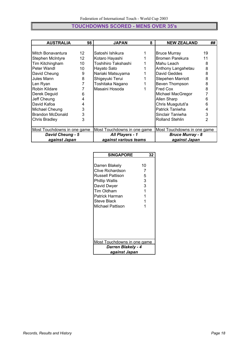## **TOUCHDOWNS SCORED - MENS OVER 35's**

| <b>AUSTRALIA</b>            | 98              | <b>JAPAN</b>                | 8 | <b>NEW ZEALAND</b>          | ## |
|-----------------------------|-----------------|-----------------------------|---|-----------------------------|----|
|                             |                 |                             |   |                             |    |
| Mitch Bonavantura           | 12 <sup>2</sup> | Satoshi Ishikura            |   | <b>Bruce Murray</b>         | 19 |
| Stephen McIntyre            | 12              | Kotaro Hayashi              |   | Bromen Parekura             | 11 |
| Tim Kitchingham             | 10              | Toshihiro Takshashi         |   | Mahu Leach                  | 8  |
| Peter Wandl                 | 10              | Hayato Sato                 |   | Anthony Langahetau          | 8  |
| David Cheung                | 9               | Nariaki Matsuyama           |   | David Geddes                | 8  |
| Jules Mann                  | 8               | Shigeyuki Terui             |   | Stepehen Marriott           | 8  |
| Len Ryan                    | 7               | Toshitaka Nagano            |   | Beven Thompson              | 8  |
| Robin Kildare               |                 | Masaini Hosoda              |   | Fred Cox                    | 8  |
| Derek Deguid                | 6               |                             |   | Michael MacGregor           |    |
| Jeff Cheung                 | 4               |                             |   | Allen Sharp                 | 6  |
| David Kafoa                 | 4               |                             |   | Chris Muagututi'a           | 6  |
| Michael Cheung              | 3               |                             |   | Patrick Taniwha             | 4  |
| <b>Brandon McDonald</b>     | 3               |                             |   | Sinclair Taniwha            | 3  |
| <b>Chris Bradley</b>        | 3               |                             |   | <b>Rolland Stehlin</b>      | 2  |
|                             |                 |                             |   |                             |    |
| Most Touchdowns in one game |                 | Most Touchdowns in one game |   | Most Touchdowns in one game |    |
| <b>David Cheung - 5</b>     |                 | <b>All Players - 1</b>      |   | <b>Bruce Murray - 8</b>     |    |
| against Japan               |                 | against various teams       |   | against Japan               |    |

| <b>SINGAPORE</b>                                                                                                                                                  | 32                                    |  |  |  |  |  |  |  |
|-------------------------------------------------------------------------------------------------------------------------------------------------------------------|---------------------------------------|--|--|--|--|--|--|--|
| Darren Blakely<br>Clive Richardson<br>Russell Pattison<br><b>Phillip Wallis</b><br>David Dwyer<br>Tim Oldham<br>Patrick Harman<br>Steve Black<br>Michael Pattison | 10<br>7<br>5<br>3<br>3<br>1<br>1<br>1 |  |  |  |  |  |  |  |
| Most Touchdowns in one game<br><b>Darren Blakely - 4</b>                                                                                                          |                                       |  |  |  |  |  |  |  |
| aqainst Japan                                                                                                                                                     |                                       |  |  |  |  |  |  |  |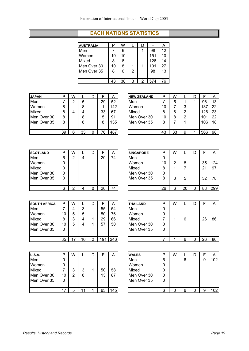#### **EACH NATIONS STATISTICS**

| P  | W  |   |   |     |    |
|----|----|---|---|-----|----|
|    | 6  |   |   | 98  | 12 |
| 10 | 10 |   |   | 151 | 10 |
| 8  | 8  |   |   | 126 | 14 |
| 10 | 8  |   |   | 101 | 27 |
| 8  | 6  | 2 |   | 98  | 13 |
|    |    |   |   |     |    |
| 43 | 38 | 3 | 2 | 574 | 76 |
|    |    |   |   |     |    |

| <b>JAPAN</b> | D  | W |    |    | A   | <b>NEW ZEALAND</b> | P  | W  |   | D |     | A           |
|--------------|----|---|----|----|-----|--------------------|----|----|---|---|-----|-------------|
| Men          |    | ◠ | 5  | 29 | 52  | Men                |    | 5  |   |   | 96  | 13          |
| Women        | 8  |   | 8  |    | 142 | Women              | 10 |    | 3 |   | 137 | 22          |
| Mixed        | 8  | 4 | 4  | 33 | 67  | Mixed              | 8  | 6  | 2 |   | 126 | $2^{\circ}$ |
| Men Over 30  | 8  |   | 8  | 5  | 91  | Men Over 30        | 10 | 8  | っ |   | 101 | 22          |
| Men Over 35  | 8  |   | 8  | 8  | 135 | Men Over 35        | 8  |    |   |   | 106 | 18          |
|              | 39 | 6 | 33 | 76 | 487 |                    | 43 | 33 | 9 |   | 566 | 98          |

| <b>JAPAN</b> | D  | W |    | D |    | A   | <b>NEW ZEALAND</b> | Р  | W  |   |     | A  |
|--------------|----|---|----|---|----|-----|--------------------|----|----|---|-----|----|
| Men          |    | ⌒ | 5  |   | 29 | 52  | Men                |    | 5  |   | 96  | 13 |
| Women        | 8  |   | 8  |   |    | 142 | Women              | 10 |    | 3 | 137 | 22 |
| Mixed        | 8  | 4 | 4  |   | 33 | 67  | Mixed              | 8  | 6  | 2 | 126 | 23 |
| Men Over 30  | 8  |   | 8  |   | 5  | 91  | Men Over 30        | 10 | 8  | 2 | 101 | 22 |
| Men Over 35  | 8  |   | 8  |   | 8  | 135 | Men Over 35        | 8  |    |   | 106 | 18 |
|              |    |   |    |   |    |     |                    |    |    |   |     |    |
|              | 39 | 6 | 33 |   | 76 | 487 |                    | 43 | 33 | 9 | 566 | 98 |
|              |    |   |    |   |    |     |                    |    |    |   |     |    |

| <b>SCOTLAND</b> | D | W |   |    | A  | <b>SINGAPORE</b> | D  | W |    |    | A   |
|-----------------|---|---|---|----|----|------------------|----|---|----|----|-----|
| Men             | 6 | ⌒ | 4 | 20 | 74 | Men              | 0  |   |    |    |     |
| Women           | 0 |   |   |    |    | Women            | 10 | າ | 8  | 35 | 124 |
| Mixed           |   |   |   |    |    | Mixed            | 8  |   |    | 21 | 97  |
| Men Over 30     |   |   |   |    |    | Men Over 30      | 0  |   |    |    |     |
| Men Over 35     |   |   |   |    |    | Men Over 35      | 8  | 3 | 5  | 32 | 78  |
|                 | 6 | c |   | 20 | 74 |                  | 26 | 6 | 20 | 88 | 299 |

| <b>SOUTH AFRICA</b> | D  | W |    |   |    | А    | <b>THAILAND</b> | Р        |
|---------------------|----|---|----|---|----|------|-----------------|----------|
| Men                 |    | 4 | 3  |   | 55 | 54   | Men             | 0        |
| Women               | 10 | 5 | 5  |   | 50 | 76   | Women           | $\Omega$ |
| Mixed               | 8  | 3 | 4  |   | 29 | 66   | Mixed           | 7        |
| Men Over 30         | 10 | 5 | 4  |   | 57 | 50   | Men Over 30     | 0        |
| Men Over 35         |    |   |    |   |    |      | Men Over 35     | 0        |
|                     |    |   |    |   |    |      |                 |          |
|                     | 35 |   | 16 | റ |    | 246. |                 |          |

| <b>SOUTH AFRICA</b> | D  | W |    |   |     | A   | <b>THAILAND</b> | רו | W |     |    | n  |
|---------------------|----|---|----|---|-----|-----|-----------------|----|---|-----|----|----|
| Men                 |    |   | 3  |   | 55  | 54  | Men             | 0  |   |     |    |    |
| Women               | 10 | 5 | 5  |   | 50  | 76  | Women           | 0  |   |     |    |    |
| Mixed               | 8  | 3 | 4  |   | 29  | 66  | Mixed           |    |   | 6   | 26 | 86 |
| Men Over 30         | 10 | 5 | 4  |   | 57  | 50  | Men Over 30     | 0  |   |     |    |    |
| Men Over 35         | 0  |   |    |   |     |     | Men Over 35     |    |   |     |    |    |
|                     |    |   |    |   |     |     |                 |    |   |     |    |    |
|                     | 35 |   | 16 | ◠ | 191 | 246 |                 |    |   | ี่ค | 26 | 86 |

| <b>U.S.A.</b> | ם  | W |   |    | A   | <b>WALES</b> | D | W |   |   | A  |
|---------------|----|---|---|----|-----|--------------|---|---|---|---|----|
| Men           | 0  |   |   |    |     | Men          | 6 |   | 6 | 9 | 10 |
| Women         |    |   |   |    |     | Women        | 0 |   |   |   |    |
| Mixed         |    | ◠ | 3 | 50 | 58  | Mixed        | 0 |   |   |   |    |
| Men Over 30   | 10 | っ | 8 | 13 | 87  | Men Over 30  | 0 |   |   |   |    |
| Men Over 35   | 0  |   |   |    |     | Men Over 35  | 0 |   |   |   |    |
|               |    |   |   |    |     |              |   |   |   |   |    |
|               | 17 |   |   | 63 | 145 |              | 6 |   | 6 | 9 | 10 |

| <b>U.S.A.</b> | D  | W |   |    | A   | <b>WALES</b> |   | W |   |  | A                |
|---------------|----|---|---|----|-----|--------------|---|---|---|--|------------------|
| Men           | 0  |   |   |    |     | Men          | 6 |   | 6 |  | 102 <sub>1</sub> |
| Women         | 0  |   |   |    |     | Women        |   |   |   |  |                  |
| Mixed         |    |   | 3 | 50 | 58  | Mixed        |   |   |   |  |                  |
| Men Over 30   | 10 |   | 8 | 13 | 87  | Men Over 30  |   |   |   |  |                  |
| Men Over 35   | 0  |   |   |    |     | Men Over 35  |   |   |   |  |                  |
|               |    |   |   |    |     |              |   |   |   |  |                  |
|               |    |   |   | 63 | 145 |              |   |   | G |  | 102              |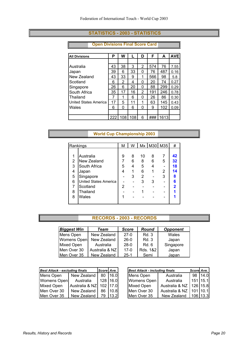#### **STATISTICS - 2003 - STATISTICS**

#### **Open Divisions Final Score Card**

| <b>All Divisions</b>  | Ρ   | W   |     | D | F   | A    | <b>AVE</b> |
|-----------------------|-----|-----|-----|---|-----|------|------------|
|                       |     |     |     |   |     |      |            |
| l Australia           | 43  | 38  | 3   | 2 | 574 | 76   | 7.55       |
| Japan                 | 39  | 6   | 33  | 0 | 76  | 487  | 0.16       |
| New Zealand           | 43  | 33  | 9   | 1 | 566 | 98   | 5.8        |
| Scotland              | 6   | 2   | 4   | 0 | 20  | 74   | 0.27       |
| Singapore             | 26  | 6   | 20  | 0 | 88  | 299  | 0.29       |
| <b>South Africa</b>   | 35  | 17  | 16  | 2 | 191 | 246  | 0.78       |
| <b>Thailand</b>       | 7   | 1   | 6   | 0 | 26  | 86   | 0.30       |
| United States America | 17  | 5   | 11  | 1 | 63  | 145  | 0.43       |
| Wales                 | 6   | 0   | 6   | 0 | 9   | 102  | 0.09       |
|                       |     |     |     |   |     |      |            |
|                       | 222 | 108 | 108 | 6 | ### | 1613 |            |

#### **World Cup Championship 2003**

| Rankings       |                              | М | W |    | Mx   M30   M35 |   | #  |
|----------------|------------------------------|---|---|----|----------------|---|----|
|                |                              |   |   |    |                |   |    |
| 1              | Australia                    | 9 | 8 | 10 | 8              | 7 | 42 |
| $\overline{2}$ | New Zealand                  |   | 6 | 8  | 6              | 5 | 32 |
| 3              | South Africa                 | 5 |   | 5  | 4              |   | 18 |
| 4              | Japan                        |   |   | 6  |                | 2 | 14 |
| 5              | Singapore                    |   | 3 | 2  |                | 3 | 8  |
| 6              | <b>United States America</b> |   |   | 3  | 3              |   | R  |
| 7              | Scotland                     | 2 |   |    |                |   | 2  |
| 8              | Thailand                     |   |   |    |                |   |    |
| 8              | Wales                        |   |   |    |                |   |    |
|                |                              |   |   |    |                |   |    |

#### **RECORDS - 2003 - RECORDS**

| <b>Biggest Win</b> | Team           | <b>Score</b> | <b>Round</b> | <b>Opponent</b> |
|--------------------|----------------|--------------|--------------|-----------------|
| Mens Open          | New Zealand    | $27-0$       | Rd. 3        | Wales           |
| Womens Open        | New Zealand    | $26-0$       | Rd. 3        | Japan           |
| <b>Mixed Open</b>  | Australia      | $28-0$       | Rd 6         | Singapore       |
| Men Over 30        | Australia & NZ | $17-0$       | Rds. 1&2     | Japan           |
| Men Over 35        | New Zealand    | $25-1$       | Semi         | Japan           |

| <b>Best Attack - excluding finals</b> |                             | Score Ave. |                   | <b>Best Attack - including finals</b> |                             | Score Ave. |         |
|---------------------------------------|-----------------------------|------------|-------------------|---------------------------------------|-----------------------------|------------|---------|
| Mens Open                             | New Zealand                 |            | 80 16.0           | Mens Open                             | Australia                   |            | 98 14.0 |
| Womens Open                           | Australia                   |            | 128 16.0          | Womens Open                           | Australia                   | 151 15.1   |         |
| <b>Mixed Open</b>                     | Australia & NZ   102   17.0 |            |                   | <b>Mixed Open</b>                     | Australia & NZ   126   15.8 |            |         |
| Men Over 30                           | New Zealand                 | 86         | 110.8             | Men Over 30                           | Australia & NZ   101   10.1 |            |         |
| Men Over 35                           | New Zealand                 | 79.        | 13.2 <sub>l</sub> | Men Over 35                           | New Zealand                 | $106$ 13.3 |         |

| <b>Best Attack - excluding finals</b> |                             | Score Ave. |                   |                   | <b>Best Attack - including finals</b> |            |         |
|---------------------------------------|-----------------------------|------------|-------------------|-------------------|---------------------------------------|------------|---------|
| Mens Open                             | New Zealand                 | 80 I       | 16.0              | Mens Open         | Australia                             |            | 98 14.0 |
| Womens Open                           | Australia                   |            | 128 16.0          | Womens Open       | Australia                             | $151$ 15.1 |         |
| Mixed Open                            | Australia & NZ   102   17.0 |            |                   | <b>Mixed Open</b> | Australia & NZ                        | 126 15.8   |         |
| Men Over 30                           | New Zealand                 | 86.        | 10.8              | Men Over 30       | Australia & NZ                        | 101 10.1   |         |
| Men Over 35                           | New Zealand                 | 79         | 13.2 <sub>l</sub> | Men Over 35       | New Zealand                           | 106 13.3   |         |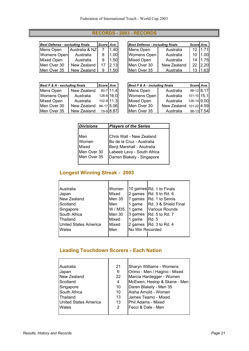## **RECORDS - 2003 - RECORDS**

| <b>Best Defense - excluding finals</b> |                | Score Ave. |                   | <b>Best Defense - including finals</b> |             | Score Ave.     |      |  |
|----------------------------------------|----------------|------------|-------------------|----------------------------------------|-------------|----------------|------|--|
| Mens Open                              | Australia & NZ |            | 1.40              | Mens Open                              | Australia   | $12 \mid 1.71$ |      |  |
| Womens Open                            | Australia      |            | 1.00 <sub>l</sub> | Womens Open                            | Australia   | 10             | 1.00 |  |
| Mixed Open                             | Australia      | 9          | 1.50 <sup>1</sup> | <b>Mixed Open</b>                      | Australia   | 14             | 1.75 |  |
| Men Over 30                            | New Zealand    | 17         | 2.13              | Men Over 30                            | New Zealand | $22 \mid 2.20$ |      |  |
| Men Over 35                            | New Zealand    | 9          | .501              | Men Over 35                            | Australia   |                | 1.63 |  |

| <b>Best Defense - excluding finals</b> |                | Score Ave. |      | <b>Best Defense - including finals</b> | Score Ave.  |                 |         |
|----------------------------------------|----------------|------------|------|----------------------------------------|-------------|-----------------|---------|
| Mens Open                              | Australia & NZ |            | 1.40 | Mens Open                              | Australia   | 12 <sup>°</sup> | 1.71    |
| Womens Open                            | Australia      |            | 1.00 | Womens Open                            | Australia   | 10              | l 1.00l |
| Mixed Open                             | Australia      | 9          | 1.50 | Mixed Open                             | Australia   | 14              | 11.75   |
| Men Over 30                            | New Zealand    |            | 2.13 | Men Over 30                            | New Zealand | 22              | 12.20   |
| Men Over 35                            | New Zealand    | 9          | 1.50 | Men Over 35                            | Australia   |                 | 1.63    |

| <b>Best F &amp; A - excluding finals</b> |             | Score Ave. |            |
|------------------------------------------|-------------|------------|------------|
| Mens Open                                | New Zealand |            | 80-7 11.4  |
| <b>Womens Open</b>                       | Australia   |            | 128-8 16.0 |
| Mixed Open                               | Australia   |            | 102-9 11.3 |
| Men Over 30                              | New Zealand |            | 86-17 5.06 |
| Men Over 35                              | New Zealand |            | 79-9 8.87  |

|             | Best F & A - excluding finals |            | Score Ave.    | Best F & A - including finals | Score Ave.              |             |  |
|-------------|-------------------------------|------------|---------------|-------------------------------|-------------------------|-------------|--|
| Mens Open   | New Zealand                   |            | $80 - 7$ 11.4 | Mens Open                     | Australia               | 98-12 8.17  |  |
| Womens Open | Australia                     | 128-8 16.0 |               | Womens Open                   | Australia               | 151-10 15.1 |  |
| Mixed Open  | Australia                     | 102-9 11.3 |               | Mixed Open                    | Australia               | 126-14 9.00 |  |
| Men Over 30 | New Zealand                   | 86-17 5.06 |               | Men Over 30                   | New Zealand 101-22 4.59 |             |  |
| Men Over 35 | New Zealand                   |            | 79-9 8.87     | Men Over 35                   | Australia               | 98-13 7.54  |  |

| <b>Divisions</b>                     | <b>Players of the Series</b>                                                                                      |
|--------------------------------------|-------------------------------------------------------------------------------------------------------------------|
| Men<br>Women<br>Mixed<br>Men Over 30 | Chris Wall - New Zealand<br>Bo de la Cruz - Australia<br>Benji Marshall - Asutralia<br>Labeeb Levy - South Africa |
| Men Over 35                          | Darren Blakely - Singapore                                                                                        |

# **Longest Winning Streak - 2003**

| Australia                    | Women   |                 | 10 games Rd. 1 to Finals       |
|------------------------------|---------|-----------------|--------------------------------|
| Japan                        | Mixed   | 2 games         | Rd. 5 to Rd. 6                 |
| New Zealand                  | Men 35  |                 | 7 games Rd. 1 to Semis         |
| Scotland                     | Men     | 1 game          | Rd. 3 & Shield Final           |
| Singapore                    | W / M35 | 1 game          | <b>Various Rounds</b>          |
| South Africa                 | Men 30  |                 | 3 games $\vert$ Rd. 5 to Rd. 7 |
| Thailand                     | Mixed   | 1 game          | <b>Rd. 5</b>                   |
| <b>United States America</b> | Mixed   |                 | 2 games $\vert$ Rd. 3 to Rd. 4 |
| Wales                        | Men     | No Win Recorded |                                |
|                              |         |                 |                                |

## **Leading Touchdown Scorers - Each Nation**

| Australia                    | 21 | Sharyn Williams - Womens     |
|------------------------------|----|------------------------------|
| Japan                        | 6  | Orimo - Men / Hagino - Mixed |
| New Zealand                  | 22 | Marcia Hardegger - Women     |
| Scotland                     | 4  | McEwen, Heslop & Skene - Men |
| Singapore                    | 10 | Daren Blakely - Men 35       |
| South Africa                 | 10 | Aisha Arnold - Women         |
| Thailand                     | 13 | James Teamo - Mixed          |
| <b>United States America</b> | 13 | Phil Adams - Mixed           |
| Wales                        | 2  | Fecci & Dale - Men           |
|                              |    |                              |